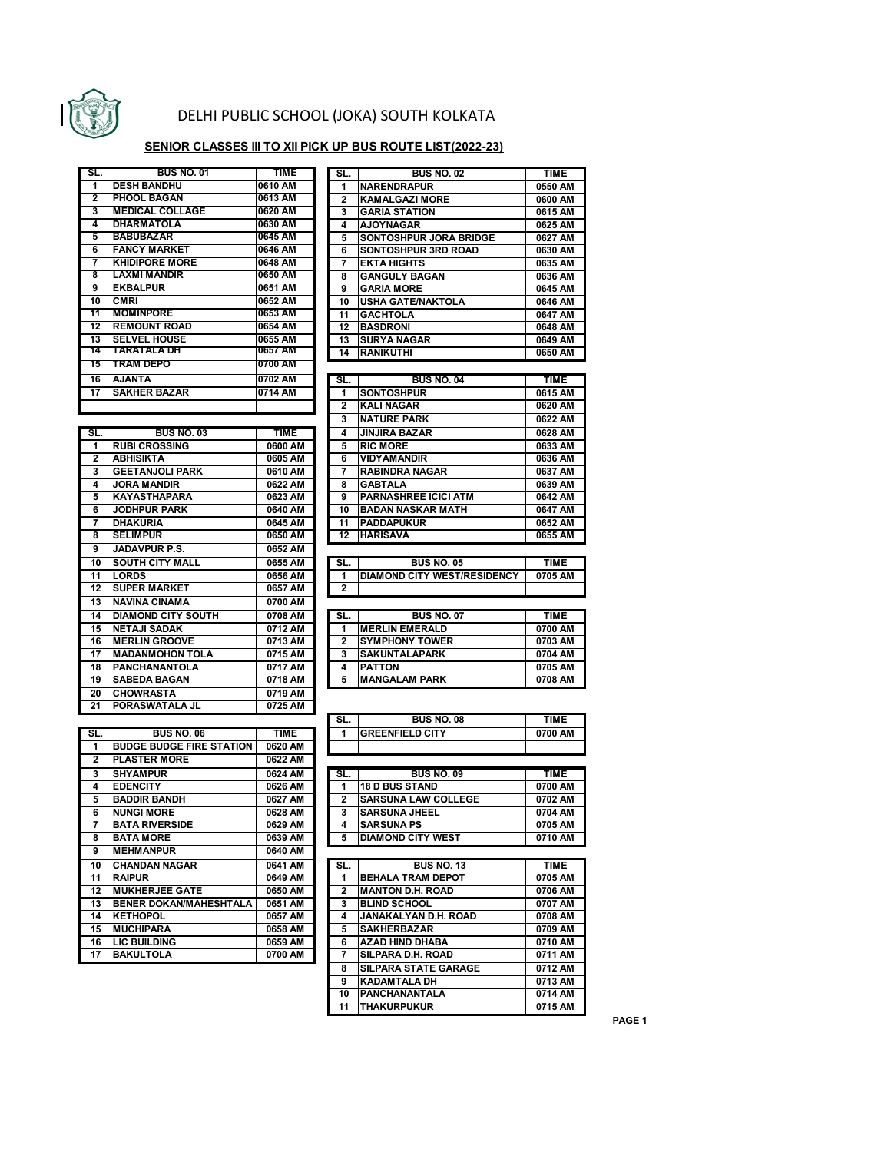

## DELHI PUBLIC SCHOOL (JOKA) SOUTH KOLKATA

## **SENIOR CLASSES III TO XII PICK UP BUS ROUTE LIST(2022-23)**

| SL. | <b>BUS NO. 01</b>      | <b>TIME</b> |
|-----|------------------------|-------------|
| 1   | <b>DESH BANDHU</b>     | 0610 AM     |
| 2   | <b>PHOOL BAGAN</b>     | 0613 AM     |
| 3   | <b>MEDICAL COLLAGE</b> | 0620 AM     |
| 4   | <b>DHARMATOLA</b>      | 0630 AM     |
| 5   | <b>BABUBAZAR</b>       | 0645 AM     |
| 6   | <b>FANCY MARKET</b>    | 0646 AM     |
| 7   | <b>KHIDIPORE MORE</b>  | 0648 AM     |
| 8   | <b>LAXMI MANDIR</b>    | 0650 AM     |
| 9   | <b>EKBALPUR</b>        | 0651 AM     |
| 10  | <b>CMRI</b>            | 0652 AM     |
| 11  | <b>MOMINPORE</b>       | 0653 AM     |
| 12  | <b>REMOUNT ROAD</b>    | 0654 AM     |
| 13  | <b>SELVEL HOUSE</b>    | 0655 AM     |
| 14  | TARATALA DH            | 0657 AM     |
| 15  | <b>TRAM DEPO</b>       | 0700 AM     |
| 16  | <b>AJANTA</b>          | 0702 AM     |
| 17  | <b>SAKHER BAZAR</b>    | 0714 AM     |
|     |                        |             |

| SL.                     | <b>BUS NO. 01</b>      | <b>TIME</b> | SL. | <b>BUS NO. 02</b>             | <b>TIME</b> |
|-------------------------|------------------------|-------------|-----|-------------------------------|-------------|
| $\overline{1}$          | <b>DESH BANDHU</b>     | 0610 AM     |     | <b>NARENDRAPUR</b>            | 0550 AM     |
| $\overline{2}$          | <b>PHOOL BAGAN</b>     | 0613 AM     | 2   | <b>KAMALGAZI MORE</b>         | 0600 AM     |
| 3                       | <b>MEDICAL COLLAGE</b> | 0620 AM     | 3   | <b>GARIA STATION</b>          | 0615 AM     |
| $\overline{\mathbf{4}}$ | <b>DHARMATOLA</b>      | 0630 AM     | 4   | <b>AJOYNAGAR</b>              | 0625 AM     |
| 5                       | <b>BABUBAZAR</b>       | 0645 AM     | 5   | <b>SONTOSHPUR JORA BRIDGE</b> | 0627 AM     |
| 6                       | <b>FANCY MARKET</b>    | 0646 AM     | 6   | <b>SONTOSHPUR 3RD ROAD</b>    | 0630 AM     |
| 7                       | <b>KHIDIPORE MORE</b>  | 0648 AM     |     | <b>EKTA HIGHTS</b>            | 0635 AM     |
| 8                       | <b>LAXMI MANDIR</b>    | 0650 AM     | 8   | <b>GANGULY BAGAN</b>          | 0636 AM     |
| 9                       | <b>EKBALPUR</b>        | 0651 AM     | 9   | <b>GARIA MORE</b>             | 0645 AM     |
| 10                      | <b>CMRI</b>            | 0652 AM     | 10  | <b>USHA GATE/NAKTOLA</b>      | 0646 AM     |
| $\overline{11}$         | <b>MOMINPORE</b>       | 0653 AM     | 11  | <b>GACHTOLA</b>               | 0647 AM     |
| $\overline{12}$         | <b>REMOUNT ROAD</b>    | 0654 AM     | 12  | <b>BASDRONI</b>               | 0648 AM     |
| 13                      | <b>SELVEL HOUSE</b>    | 0655 AM     | 13  | <b>SURYA NAGAR</b>            | 0649 AM     |
| 14                      | TARATALA DH            | 0657 AM     | 14  | <b>RANIKUTHI</b>              | 0650 AM     |

|                         |                           |             | 3                     |
|-------------------------|---------------------------|-------------|-----------------------|
| SL.                     | <b>BUS NO. 03</b>         | <b>TIME</b> | 4                     |
| 1                       | <b>RUBI CROSSING</b>      | 0600 AM     | 5                     |
| $\overline{\mathbf{2}}$ | <b>ABHISIKTA</b>          | 0605 AM     | $\overline{6}$        |
| 3                       | <b>GEETANJOLI PARK</b>    | 0610 AM     | 7                     |
| 4                       | <b>JORA MANDIR</b>        | 0622 AM     | 8                     |
| 5                       | <b>KAYASTHAPARA</b>       | 0623 AM     | 9                     |
| 6                       | <b>JODHPUR PARK</b>       | 0640 AM     | $\overline{1}$        |
| 7                       | <b>DHAKURIA</b>           | 0645 AM     | $\mathbf{1}^{\prime}$ |
| 8                       | <b>SELIMPUR</b>           | 0650 AM     | 1:                    |
| 9                       | <b>JADAVPUR P.S.</b>      | 0652 AM     |                       |
| 10                      | <b>SOUTH CITY MALL</b>    | 0655 AM     | sı                    |
| 11                      | <b>LORDS</b>              | 0656 AM     | 1                     |
| 12                      | <b>SUPER MARKET</b>       | 0657 AM     | $\overline{2}$        |
| 13                      | <b>NAVINA CINAMA</b>      | 0700 AM     |                       |
| 14                      | <b>DIAMOND CITY SOUTH</b> | 0708 AM     | sī                    |
| 15                      | <b>NETAJI SADAK</b>       | 0712 AM     | $\overline{1}$        |
| 16                      | <b>MERLIN GROOVE</b>      | 0713 AM     | $\overline{2}$        |
| 17                      | <b>MADANMOHON TOLA</b>    | 0715 AM     | 3                     |
| 18                      | <b>PANCHANANTOLA</b>      | 0717 AM     | 4                     |
| 19                      | <b>SABEDA BAGAN</b>       | 0718 AM     | 5                     |
| 20                      | <b>CHOWRASTA</b>          | 0719 AM     |                       |
| $\overline{21}$         | PORASWATALA JL            | 0725 AM     |                       |

| SL.                     | <b>BUS NO. 06</b>               | <b>TIME</b> |
|-------------------------|---------------------------------|-------------|
| 1                       | <b>BUDGE BUDGE FIRE STATION</b> | 0620 AM     |
| $\overline{\mathbf{2}}$ | <b>PLASTER MORE</b>             | 0622 AM     |
| 3                       | <b>SHYAMPUR</b>                 | 0624 AM     |
| 4                       | <b>EDENCITY</b>                 | 0626 AM     |
| 5                       | <b>BADDIR BANDH</b>             | 0627 AM     |
| 6                       | <b>NUNGI MORE</b>               | 0628 AM     |
| 7                       | <b>BATA RIVERSIDE</b>           | 0629 AM     |
| 8                       | <b>BATA MORE</b>                | 0639 AM     |
| 9                       | <b>MEHMANPUR</b>                | 0640 AM     |
| 10                      | <b>CHANDAN NAGAR</b>            | 0641 AM     |
| 11                      | <b>RAIPUR</b>                   | 0649 AM     |
| 12                      | <b>MUKHERJEE GATE</b>           | 0650 AM     |
| 13                      | <b>BENER DOKAN/MAHESHTALA</b>   | 0651 AM     |
| 14                      | <b>KETHOPOL</b>                 | 0657 AM     |
| 15                      | <b>MUCHIPARA</b>                | 0658 AM     |
| 16                      | <b>LIC BUILDING</b>             | 0659 AM     |
| 17                      | <b>BAKULTOLA</b>                | 0700 AM     |

| 16                      | <b>AJANTA</b>                               | 0702 AM     | SL.            | <b>BUS NO. 04</b>           | <b>TIME</b> |
|-------------------------|---------------------------------------------|-------------|----------------|-----------------------------|-------------|
| 17                      | <b>SAKHER BAZAR</b>                         | 0714 AM     |                | <b>SONTOSHPUR</b>           | 0615 AM     |
|                         |                                             |             | $\overline{2}$ | <b>KALI NAGAR</b>           | 0620 AM     |
|                         |                                             |             | 3              | <b>NATURE PARK</b>          | 0622 AM     |
| SL.                     | <b>BUS NO. 03</b>                           | <b>TIME</b> | 4              | <b>JINJIRA BAZAR</b>        | 0628 AM     |
| 1                       | <b>RUBI CROSSING</b>                        | 0600 AM     | 5              | <b>RIC MORE</b>             | 0633 AM     |
| $\overline{2}$          | <b>ABHISIKTA</b>                            | 0605 AM     | 6              | <b>VIDYAMANDIR</b>          | 0636 AM     |
| 3                       | <b>GEETANJOLI PARK</b>                      | 0610 AM     |                | <b>RABINDRA NAGAR</b>       | 0637 AM     |
| $\overline{\mathbf{4}}$ | <b>JORA MANDIR</b>                          | 0622 AM     | 8              | <b>GABTALA</b>              | 0639 AM     |
| 5                       | <b>KAYASTHAPARA</b>                         | 0623 AM     | 9              | <b>PARNASHREE ICICI ATM</b> | 0642 AM     |
| 6                       | <b>JODHPUR PARK</b>                         | 0640 AM     | 10             | <b>BADAN NASKAR MATH</b>    | 0647 AM     |
| $\overline{7}$          | <b>DHAKURIA</b>                             | 0645 AM     | 11             | <b>PADDAPUKUR</b>           | 0652 AM     |
| 8                       | <b>SELIMPUR</b>                             | 0650 AM     | 12             | <b>HARISAVA</b>             | 0655 AM     |
|                         | $\ldots \ldots \ldots \ldots \ldots \ldots$ | ---- ---    |                |                             |             |

| 10 | <b>ISOUTH CITY MALL</b> | 0655 AM | SL. | <b>BUS NO. 05</b>                   | TIME    |
|----|-------------------------|---------|-----|-------------------------------------|---------|
| 11 | <b>ILORDS</b>           | 0656 AM |     | <b>IDIAMOND CITY WEST/RESIDENCY</b> | 0705 AM |
| 12 | <b>ISUPER MARKET</b>    | 0657 AM |     |                                     |         |

| 14 | <b>DIAMOND CITY SOUTH</b> | 0708 AM | SL. | <b>BUS NO. 07</b>      | TIME    |
|----|---------------------------|---------|-----|------------------------|---------|
| 15 | <b>INETAJI SADAK</b>      | 0712 AM |     | <b>MERLIN EMERALD</b>  | 0700 AM |
| 16 | <b>MERLIN GROOVE</b>      | 0713 AM |     | <b>ISYMPHONY TOWER</b> | 0703 AM |
| 17 | <b>IMADANMOHON TOLA</b>   | 0715 AM |     | <b>SAKUNTALAPARK</b>   | 0704 AM |
| 18 | <b>IPANCHANANTOLA</b>     | 0717 AM |     | <b>PATTON</b>          | 0705 AM |
| 19 | <b>SABEDA BAGAN</b>       | 0718 AM |     | <b>MANGALAM PARK</b>   | 0708 AM |
|    |                           |         |     |                        |         |

| <u> 41</u>     | IF UNAOWA I ALA JL              | 07 23 AM    |                |                             |             |
|----------------|---------------------------------|-------------|----------------|-----------------------------|-------------|
|                |                                 |             | SL.            | <b>BUS NO. 08</b>           | <b>TIME</b> |
| SL.            | <b>BUS NO. 06</b>               | <b>TIME</b> | 1              | <b>GREENFIELD CITY</b>      | 0700 AM     |
| $\overline{1}$ | <b>BUDGE BUDGE FIRE STATION</b> | 0620 AM     |                |                             |             |
| $\overline{2}$ | <b>PLASTER MORE</b>             | 0622 AM     |                |                             |             |
| 3              | <b>SHYAMPUR</b>                 | 0624 AM     | SL.            | <b>BUS NO. 09</b>           | <b>TIME</b> |
| 4              | <b>EDENCITY</b>                 | 0626 AM     | 1              | <b>18 D BUS STAND</b>       | 0700 AM     |
| 5              | <b>BADDIR BANDH</b>             | 0627 AM     | 2              | <b>SARSUNA LAW COLLEGE</b>  | 0702 AM     |
| 6              | <b>NUNGI MORE</b>               | 0628 AM     | 3              | <b>SARSUNA JHEEL</b>        | 0704 AM     |
| $\overline{7}$ | <b>BATA RIVERSIDE</b>           | 0629 AM     | 4              | <b>SARSUNA PS</b>           | 0705 AM     |
| 8              | <b>BATA MORE</b>                | 0639 AM     | 5              | <b>DIAMOND CITY WEST</b>    | 0710 AM     |
| 9              | <b>MEHMANPUR</b>                | 0640 AM     |                |                             |             |
| 10             | <b>CHANDAN NAGAR</b>            | 0641 AM     | SL.            | <b>BUS NO. 13</b>           | <b>TIME</b> |
| 11             | <b>RAIPUR</b>                   | 0649 AM     | 1              | <b>BEHALA TRAM DEPOT</b>    | 0705 AM     |
| 12             | <b>MUKHERJEE GATE</b>           | 0650 AM     | $\overline{2}$ | <b>MANTON D.H. ROAD</b>     | 0706 AM     |
| 13             | <b>BENER DOKAN/MAHESHTALA</b>   | 0651 AM     | 3              | <b>BLIND SCHOOL</b>         | 0707 AM     |
| 14             | <b>KETHOPOL</b>                 | 0657 AM     | 4              | JANAKALYAN D.H. ROAD        | 0708 AM     |
| 15             | <b>MUCHIPARA</b>                | 0658 AM     | 5              | <b>SAKHERBAZAR</b>          | 0709 AM     |
| 16             | <b>LIC BUILDING</b>             | 0659 AM     | 6              | <b>AZAD HIND DHABA</b>      | 0710 AM     |
| 17             | <b>BAKULTOLA</b>                | 0700 AM     | 7              | <b>SILPARA D.H. ROAD</b>    | 0711 AM     |
|                |                                 |             | 8              | <b>SILPARA STATE GARAGE</b> | 0712 AM     |
|                |                                 |             | 9              | <b>KADAMTALA DH</b>         | 0713 AM     |
|                |                                 |             | 10             | <b>PANCHANANTALA</b>        | 0714 AM     |
|                |                                 |             | 11             | <b>THAKURPUKUR</b>          | 0715 AM     |
|                |                                 |             |                |                             |             |

**PAGE 1**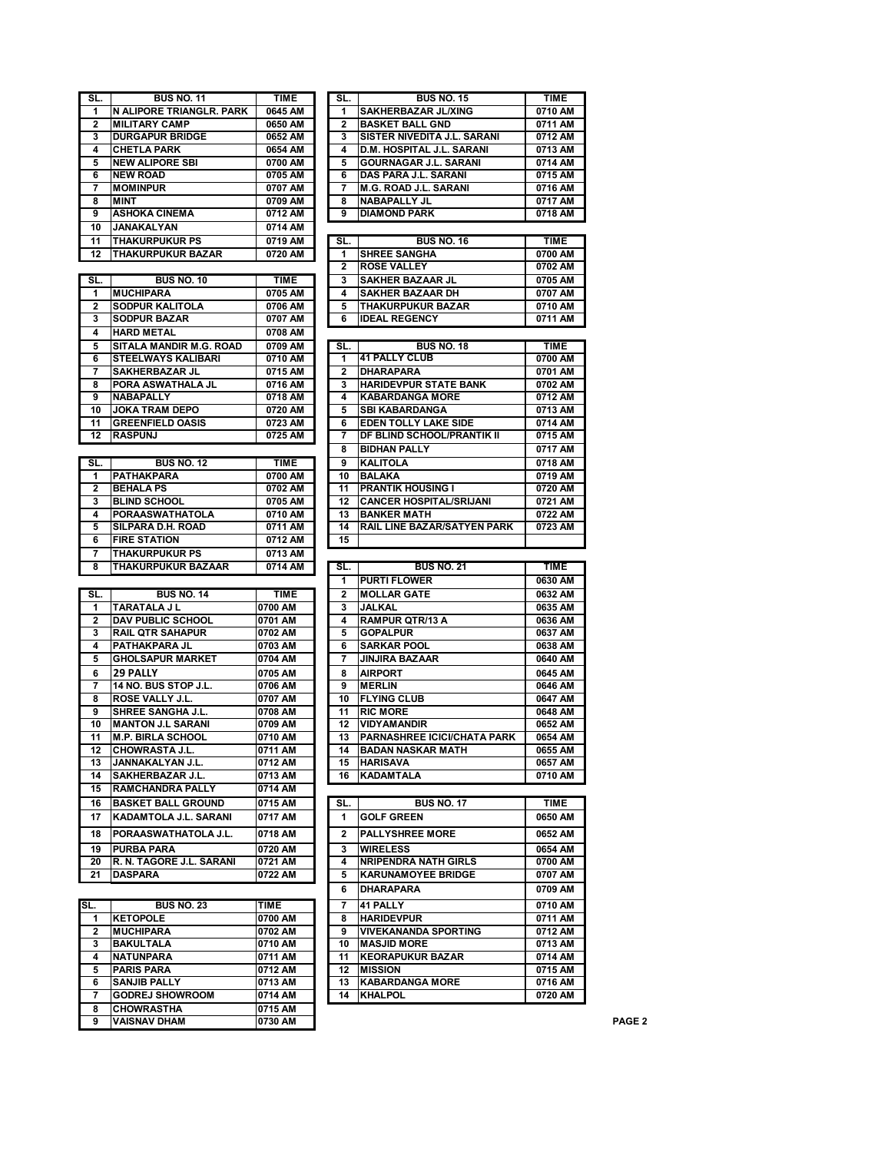| SAKHERBAZAR JL/XING<br>1<br>N ALIPORE TRIANGLR. PARK<br>0645 AM<br>1<br>0710 AM<br><b>BASKET BALL GND</b><br>$\mathbf{2}$<br><b>MILITARY CAMP</b><br>0650 AM<br>$\mathbf{2}$<br>0711 AM<br><b>SISTER NIVEDITA J.L. SARANI</b><br>3<br><b>DURGAPUR BRIDGE</b><br>0652 AM<br>3<br>0712 AM<br>4<br><b>CHETLA PARK</b><br>0654 AM<br>4<br>D.M. HOSPITAL J.L. SARANI<br>0713 AM<br>5<br><b>NEW ALIPORE SBI</b><br>0700 AM<br>GOURNAGAR J.L. SARANI<br>0714 AM<br>5<br>6<br><b>NEW ROAD</b><br>0705 AM<br>DAS PARA J.L. SARANI<br>0715 AM<br>6<br><b>MOMINPUR</b><br><b>M.G. ROAD J.L. SARANI</b><br>0716 AM<br>0707 AM<br>7<br>7<br>8<br><b>MINT</b><br>0709 AM<br><b>NABAPALLY JL</b><br>0717 AM<br>8<br>9<br><b>ASHOKA CINEMA</b><br>9<br><b>DIAMOND PARK</b><br>0712 AM<br>0718 AM<br>10<br>JANAKALYAN<br>0714 AM<br><b>THAKURPUKUR PS</b><br>0719 AM<br>SL.<br><b>BUS NO. 16</b><br><b>TIME</b><br>11<br><b>SHREE SANGHA</b><br>12<br><b>THAKURPUKUR BAZAR</b><br>0700 AM<br>0720 AM<br>1<br>$\mathbf{2}$<br><b>ROSE VALLEY</b><br>0702 AM<br><b>BUS NO. 10</b><br>TIME<br><b>SAKHER BAZAAR JL</b><br>0705 AM<br>SL.<br>3<br><b>IMUCHIPARA</b><br><b>SAKHER BAZAAR DH</b><br>0707 AM<br>1<br>0705 AM<br>4<br>$\mathbf{2}$<br><b>SODPUR KALITOLA</b><br>0706 AM<br><b>THAKURPUKUR BAZAR</b><br>0710 AM<br>5<br><b>SODPUR BAZAR</b><br><b>IDEAL REGENCY</b><br>3<br>0707 AM<br>6<br>0711 AM<br>4<br><b>HARD METAL</b><br>0708 AM<br>5<br>SITALA MANDIR M.G. ROAD<br>0709 AM<br>SL.<br><b>BUS NO. 18</b><br><b>TIME</b><br><b>41 PALLY CLUB</b><br>6<br><b>STEELWAYS KALIBARI</b><br>0710 AM<br>0700 AM<br>1<br><b>SAKHERBAZAR JL</b><br>7<br>0715 AM<br>$\mathbf{2}$<br>DHARAPARA<br>0701 AM<br><b>HARIDEVPUR STATE BANK</b><br>PORA ASWATHALA JL<br>0716 AM<br>0702 AM<br>8<br>3<br>9<br><b>NABAPALLY</b><br><b>KABARDANGA MORE</b><br>0718 AM<br>0712 AM<br>4<br><b>JOKA TRAM DEPO</b><br>10<br>0720 AM<br><b>SBI KABARDANGA</b><br>0713 AM<br>5<br><b>GREENFIELD OASIS</b><br>11<br>0723 AM<br><b>EDEN TOLLY LAKE SIDE</b><br>0714 AM<br>6<br>DF BLIND SCHOOL/PRANTIK II<br>12<br><b>RASPUNJ</b><br>0725 AM<br>0715 AM<br>7<br><b>BIDHAN PALLY</b><br>0717 AM<br>8<br><b>KALITOLA</b><br><b>BUS NO. 12</b><br>TIME<br>0718 AM<br>SL.<br>9<br><b>PATHAKPARA</b><br>1<br>0700 AM<br>10<br>BALAKA<br>0719 AM<br><b>BEHALA PS</b><br>2<br>0702 AM<br><b>PRANTIK HOUSING I</b><br>0720 AM<br>11<br><b>CANCER HOSPITAL/SRIJANI</b><br>3<br><b>BLIND SCHOOL</b><br>0705 AM<br>12<br>0721 AM<br><b>PORAASWATHATOLA</b><br>4<br>0710 AM<br>13<br><b>BANKER MATH</b><br>0722 AM<br>SILPARA D.H. ROAD<br>0711 AM<br><b>RAIL LINE BAZAR/SATYEN PARK</b><br>0723 AM<br>5<br>14<br><b>FIRE STATION</b><br>0712 AM<br>15<br>6<br><b>THAKURPUKUR PS</b><br>0713 AM<br>7<br><b>THAKURPUKUR BAZAAR</b><br>8<br>0714 AM<br><b>BUS NO. 21</b><br><b>TIME</b><br>SL.<br><b>PURTI FLOWER</b><br>1<br>0630 AM |
|----------------------------------------------------------------------------------------------------------------------------------------------------------------------------------------------------------------------------------------------------------------------------------------------------------------------------------------------------------------------------------------------------------------------------------------------------------------------------------------------------------------------------------------------------------------------------------------------------------------------------------------------------------------------------------------------------------------------------------------------------------------------------------------------------------------------------------------------------------------------------------------------------------------------------------------------------------------------------------------------------------------------------------------------------------------------------------------------------------------------------------------------------------------------------------------------------------------------------------------------------------------------------------------------------------------------------------------------------------------------------------------------------------------------------------------------------------------------------------------------------------------------------------------------------------------------------------------------------------------------------------------------------------------------------------------------------------------------------------------------------------------------------------------------------------------------------------------------------------------------------------------------------------------------------------------------------------------------------------------------------------------------------------------------------------------------------------------------------------------------------------------------------------------------------------------------------------------------------------------------------------------------------------------------------------------------------------------------------------------------------------------------------------------------------------------------------------------------------------------------------------------------------------------------------------------------------------------------------------------------------------------------------------------------------------------------------------------------------------------------------------------------------------------------------------------------------------------------------------------------------------------|
|                                                                                                                                                                                                                                                                                                                                                                                                                                                                                                                                                                                                                                                                                                                                                                                                                                                                                                                                                                                                                                                                                                                                                                                                                                                                                                                                                                                                                                                                                                                                                                                                                                                                                                                                                                                                                                                                                                                                                                                                                                                                                                                                                                                                                                                                                                                                                                                                                                                                                                                                                                                                                                                                                                                                                                                                                                                                                        |
|                                                                                                                                                                                                                                                                                                                                                                                                                                                                                                                                                                                                                                                                                                                                                                                                                                                                                                                                                                                                                                                                                                                                                                                                                                                                                                                                                                                                                                                                                                                                                                                                                                                                                                                                                                                                                                                                                                                                                                                                                                                                                                                                                                                                                                                                                                                                                                                                                                                                                                                                                                                                                                                                                                                                                                                                                                                                                        |
|                                                                                                                                                                                                                                                                                                                                                                                                                                                                                                                                                                                                                                                                                                                                                                                                                                                                                                                                                                                                                                                                                                                                                                                                                                                                                                                                                                                                                                                                                                                                                                                                                                                                                                                                                                                                                                                                                                                                                                                                                                                                                                                                                                                                                                                                                                                                                                                                                                                                                                                                                                                                                                                                                                                                                                                                                                                                                        |
|                                                                                                                                                                                                                                                                                                                                                                                                                                                                                                                                                                                                                                                                                                                                                                                                                                                                                                                                                                                                                                                                                                                                                                                                                                                                                                                                                                                                                                                                                                                                                                                                                                                                                                                                                                                                                                                                                                                                                                                                                                                                                                                                                                                                                                                                                                                                                                                                                                                                                                                                                                                                                                                                                                                                                                                                                                                                                        |
|                                                                                                                                                                                                                                                                                                                                                                                                                                                                                                                                                                                                                                                                                                                                                                                                                                                                                                                                                                                                                                                                                                                                                                                                                                                                                                                                                                                                                                                                                                                                                                                                                                                                                                                                                                                                                                                                                                                                                                                                                                                                                                                                                                                                                                                                                                                                                                                                                                                                                                                                                                                                                                                                                                                                                                                                                                                                                        |
|                                                                                                                                                                                                                                                                                                                                                                                                                                                                                                                                                                                                                                                                                                                                                                                                                                                                                                                                                                                                                                                                                                                                                                                                                                                                                                                                                                                                                                                                                                                                                                                                                                                                                                                                                                                                                                                                                                                                                                                                                                                                                                                                                                                                                                                                                                                                                                                                                                                                                                                                                                                                                                                                                                                                                                                                                                                                                        |
|                                                                                                                                                                                                                                                                                                                                                                                                                                                                                                                                                                                                                                                                                                                                                                                                                                                                                                                                                                                                                                                                                                                                                                                                                                                                                                                                                                                                                                                                                                                                                                                                                                                                                                                                                                                                                                                                                                                                                                                                                                                                                                                                                                                                                                                                                                                                                                                                                                                                                                                                                                                                                                                                                                                                                                                                                                                                                        |
|                                                                                                                                                                                                                                                                                                                                                                                                                                                                                                                                                                                                                                                                                                                                                                                                                                                                                                                                                                                                                                                                                                                                                                                                                                                                                                                                                                                                                                                                                                                                                                                                                                                                                                                                                                                                                                                                                                                                                                                                                                                                                                                                                                                                                                                                                                                                                                                                                                                                                                                                                                                                                                                                                                                                                                                                                                                                                        |
|                                                                                                                                                                                                                                                                                                                                                                                                                                                                                                                                                                                                                                                                                                                                                                                                                                                                                                                                                                                                                                                                                                                                                                                                                                                                                                                                                                                                                                                                                                                                                                                                                                                                                                                                                                                                                                                                                                                                                                                                                                                                                                                                                                                                                                                                                                                                                                                                                                                                                                                                                                                                                                                                                                                                                                                                                                                                                        |
|                                                                                                                                                                                                                                                                                                                                                                                                                                                                                                                                                                                                                                                                                                                                                                                                                                                                                                                                                                                                                                                                                                                                                                                                                                                                                                                                                                                                                                                                                                                                                                                                                                                                                                                                                                                                                                                                                                                                                                                                                                                                                                                                                                                                                                                                                                                                                                                                                                                                                                                                                                                                                                                                                                                                                                                                                                                                                        |
|                                                                                                                                                                                                                                                                                                                                                                                                                                                                                                                                                                                                                                                                                                                                                                                                                                                                                                                                                                                                                                                                                                                                                                                                                                                                                                                                                                                                                                                                                                                                                                                                                                                                                                                                                                                                                                                                                                                                                                                                                                                                                                                                                                                                                                                                                                                                                                                                                                                                                                                                                                                                                                                                                                                                                                                                                                                                                        |
|                                                                                                                                                                                                                                                                                                                                                                                                                                                                                                                                                                                                                                                                                                                                                                                                                                                                                                                                                                                                                                                                                                                                                                                                                                                                                                                                                                                                                                                                                                                                                                                                                                                                                                                                                                                                                                                                                                                                                                                                                                                                                                                                                                                                                                                                                                                                                                                                                                                                                                                                                                                                                                                                                                                                                                                                                                                                                        |
|                                                                                                                                                                                                                                                                                                                                                                                                                                                                                                                                                                                                                                                                                                                                                                                                                                                                                                                                                                                                                                                                                                                                                                                                                                                                                                                                                                                                                                                                                                                                                                                                                                                                                                                                                                                                                                                                                                                                                                                                                                                                                                                                                                                                                                                                                                                                                                                                                                                                                                                                                                                                                                                                                                                                                                                                                                                                                        |
|                                                                                                                                                                                                                                                                                                                                                                                                                                                                                                                                                                                                                                                                                                                                                                                                                                                                                                                                                                                                                                                                                                                                                                                                                                                                                                                                                                                                                                                                                                                                                                                                                                                                                                                                                                                                                                                                                                                                                                                                                                                                                                                                                                                                                                                                                                                                                                                                                                                                                                                                                                                                                                                                                                                                                                                                                                                                                        |
|                                                                                                                                                                                                                                                                                                                                                                                                                                                                                                                                                                                                                                                                                                                                                                                                                                                                                                                                                                                                                                                                                                                                                                                                                                                                                                                                                                                                                                                                                                                                                                                                                                                                                                                                                                                                                                                                                                                                                                                                                                                                                                                                                                                                                                                                                                                                                                                                                                                                                                                                                                                                                                                                                                                                                                                                                                                                                        |
|                                                                                                                                                                                                                                                                                                                                                                                                                                                                                                                                                                                                                                                                                                                                                                                                                                                                                                                                                                                                                                                                                                                                                                                                                                                                                                                                                                                                                                                                                                                                                                                                                                                                                                                                                                                                                                                                                                                                                                                                                                                                                                                                                                                                                                                                                                                                                                                                                                                                                                                                                                                                                                                                                                                                                                                                                                                                                        |
|                                                                                                                                                                                                                                                                                                                                                                                                                                                                                                                                                                                                                                                                                                                                                                                                                                                                                                                                                                                                                                                                                                                                                                                                                                                                                                                                                                                                                                                                                                                                                                                                                                                                                                                                                                                                                                                                                                                                                                                                                                                                                                                                                                                                                                                                                                                                                                                                                                                                                                                                                                                                                                                                                                                                                                                                                                                                                        |
|                                                                                                                                                                                                                                                                                                                                                                                                                                                                                                                                                                                                                                                                                                                                                                                                                                                                                                                                                                                                                                                                                                                                                                                                                                                                                                                                                                                                                                                                                                                                                                                                                                                                                                                                                                                                                                                                                                                                                                                                                                                                                                                                                                                                                                                                                                                                                                                                                                                                                                                                                                                                                                                                                                                                                                                                                                                                                        |
|                                                                                                                                                                                                                                                                                                                                                                                                                                                                                                                                                                                                                                                                                                                                                                                                                                                                                                                                                                                                                                                                                                                                                                                                                                                                                                                                                                                                                                                                                                                                                                                                                                                                                                                                                                                                                                                                                                                                                                                                                                                                                                                                                                                                                                                                                                                                                                                                                                                                                                                                                                                                                                                                                                                                                                                                                                                                                        |
|                                                                                                                                                                                                                                                                                                                                                                                                                                                                                                                                                                                                                                                                                                                                                                                                                                                                                                                                                                                                                                                                                                                                                                                                                                                                                                                                                                                                                                                                                                                                                                                                                                                                                                                                                                                                                                                                                                                                                                                                                                                                                                                                                                                                                                                                                                                                                                                                                                                                                                                                                                                                                                                                                                                                                                                                                                                                                        |
|                                                                                                                                                                                                                                                                                                                                                                                                                                                                                                                                                                                                                                                                                                                                                                                                                                                                                                                                                                                                                                                                                                                                                                                                                                                                                                                                                                                                                                                                                                                                                                                                                                                                                                                                                                                                                                                                                                                                                                                                                                                                                                                                                                                                                                                                                                                                                                                                                                                                                                                                                                                                                                                                                                                                                                                                                                                                                        |
|                                                                                                                                                                                                                                                                                                                                                                                                                                                                                                                                                                                                                                                                                                                                                                                                                                                                                                                                                                                                                                                                                                                                                                                                                                                                                                                                                                                                                                                                                                                                                                                                                                                                                                                                                                                                                                                                                                                                                                                                                                                                                                                                                                                                                                                                                                                                                                                                                                                                                                                                                                                                                                                                                                                                                                                                                                                                                        |
|                                                                                                                                                                                                                                                                                                                                                                                                                                                                                                                                                                                                                                                                                                                                                                                                                                                                                                                                                                                                                                                                                                                                                                                                                                                                                                                                                                                                                                                                                                                                                                                                                                                                                                                                                                                                                                                                                                                                                                                                                                                                                                                                                                                                                                                                                                                                                                                                                                                                                                                                                                                                                                                                                                                                                                                                                                                                                        |
|                                                                                                                                                                                                                                                                                                                                                                                                                                                                                                                                                                                                                                                                                                                                                                                                                                                                                                                                                                                                                                                                                                                                                                                                                                                                                                                                                                                                                                                                                                                                                                                                                                                                                                                                                                                                                                                                                                                                                                                                                                                                                                                                                                                                                                                                                                                                                                                                                                                                                                                                                                                                                                                                                                                                                                                                                                                                                        |
|                                                                                                                                                                                                                                                                                                                                                                                                                                                                                                                                                                                                                                                                                                                                                                                                                                                                                                                                                                                                                                                                                                                                                                                                                                                                                                                                                                                                                                                                                                                                                                                                                                                                                                                                                                                                                                                                                                                                                                                                                                                                                                                                                                                                                                                                                                                                                                                                                                                                                                                                                                                                                                                                                                                                                                                                                                                                                        |
|                                                                                                                                                                                                                                                                                                                                                                                                                                                                                                                                                                                                                                                                                                                                                                                                                                                                                                                                                                                                                                                                                                                                                                                                                                                                                                                                                                                                                                                                                                                                                                                                                                                                                                                                                                                                                                                                                                                                                                                                                                                                                                                                                                                                                                                                                                                                                                                                                                                                                                                                                                                                                                                                                                                                                                                                                                                                                        |
|                                                                                                                                                                                                                                                                                                                                                                                                                                                                                                                                                                                                                                                                                                                                                                                                                                                                                                                                                                                                                                                                                                                                                                                                                                                                                                                                                                                                                                                                                                                                                                                                                                                                                                                                                                                                                                                                                                                                                                                                                                                                                                                                                                                                                                                                                                                                                                                                                                                                                                                                                                                                                                                                                                                                                                                                                                                                                        |
|                                                                                                                                                                                                                                                                                                                                                                                                                                                                                                                                                                                                                                                                                                                                                                                                                                                                                                                                                                                                                                                                                                                                                                                                                                                                                                                                                                                                                                                                                                                                                                                                                                                                                                                                                                                                                                                                                                                                                                                                                                                                                                                                                                                                                                                                                                                                                                                                                                                                                                                                                                                                                                                                                                                                                                                                                                                                                        |
|                                                                                                                                                                                                                                                                                                                                                                                                                                                                                                                                                                                                                                                                                                                                                                                                                                                                                                                                                                                                                                                                                                                                                                                                                                                                                                                                                                                                                                                                                                                                                                                                                                                                                                                                                                                                                                                                                                                                                                                                                                                                                                                                                                                                                                                                                                                                                                                                                                                                                                                                                                                                                                                                                                                                                                                                                                                                                        |
|                                                                                                                                                                                                                                                                                                                                                                                                                                                                                                                                                                                                                                                                                                                                                                                                                                                                                                                                                                                                                                                                                                                                                                                                                                                                                                                                                                                                                                                                                                                                                                                                                                                                                                                                                                                                                                                                                                                                                                                                                                                                                                                                                                                                                                                                                                                                                                                                                                                                                                                                                                                                                                                                                                                                                                                                                                                                                        |
|                                                                                                                                                                                                                                                                                                                                                                                                                                                                                                                                                                                                                                                                                                                                                                                                                                                                                                                                                                                                                                                                                                                                                                                                                                                                                                                                                                                                                                                                                                                                                                                                                                                                                                                                                                                                                                                                                                                                                                                                                                                                                                                                                                                                                                                                                                                                                                                                                                                                                                                                                                                                                                                                                                                                                                                                                                                                                        |
|                                                                                                                                                                                                                                                                                                                                                                                                                                                                                                                                                                                                                                                                                                                                                                                                                                                                                                                                                                                                                                                                                                                                                                                                                                                                                                                                                                                                                                                                                                                                                                                                                                                                                                                                                                                                                                                                                                                                                                                                                                                                                                                                                                                                                                                                                                                                                                                                                                                                                                                                                                                                                                                                                                                                                                                                                                                                                        |
|                                                                                                                                                                                                                                                                                                                                                                                                                                                                                                                                                                                                                                                                                                                                                                                                                                                                                                                                                                                                                                                                                                                                                                                                                                                                                                                                                                                                                                                                                                                                                                                                                                                                                                                                                                                                                                                                                                                                                                                                                                                                                                                                                                                                                                                                                                                                                                                                                                                                                                                                                                                                                                                                                                                                                                                                                                                                                        |
|                                                                                                                                                                                                                                                                                                                                                                                                                                                                                                                                                                                                                                                                                                                                                                                                                                                                                                                                                                                                                                                                                                                                                                                                                                                                                                                                                                                                                                                                                                                                                                                                                                                                                                                                                                                                                                                                                                                                                                                                                                                                                                                                                                                                                                                                                                                                                                                                                                                                                                                                                                                                                                                                                                                                                                                                                                                                                        |
|                                                                                                                                                                                                                                                                                                                                                                                                                                                                                                                                                                                                                                                                                                                                                                                                                                                                                                                                                                                                                                                                                                                                                                                                                                                                                                                                                                                                                                                                                                                                                                                                                                                                                                                                                                                                                                                                                                                                                                                                                                                                                                                                                                                                                                                                                                                                                                                                                                                                                                                                                                                                                                                                                                                                                                                                                                                                                        |
|                                                                                                                                                                                                                                                                                                                                                                                                                                                                                                                                                                                                                                                                                                                                                                                                                                                                                                                                                                                                                                                                                                                                                                                                                                                                                                                                                                                                                                                                                                                                                                                                                                                                                                                                                                                                                                                                                                                                                                                                                                                                                                                                                                                                                                                                                                                                                                                                                                                                                                                                                                                                                                                                                                                                                                                                                                                                                        |
|                                                                                                                                                                                                                                                                                                                                                                                                                                                                                                                                                                                                                                                                                                                                                                                                                                                                                                                                                                                                                                                                                                                                                                                                                                                                                                                                                                                                                                                                                                                                                                                                                                                                                                                                                                                                                                                                                                                                                                                                                                                                                                                                                                                                                                                                                                                                                                                                                                                                                                                                                                                                                                                                                                                                                                                                                                                                                        |
|                                                                                                                                                                                                                                                                                                                                                                                                                                                                                                                                                                                                                                                                                                                                                                                                                                                                                                                                                                                                                                                                                                                                                                                                                                                                                                                                                                                                                                                                                                                                                                                                                                                                                                                                                                                                                                                                                                                                                                                                                                                                                                                                                                                                                                                                                                                                                                                                                                                                                                                                                                                                                                                                                                                                                                                                                                                                                        |
|                                                                                                                                                                                                                                                                                                                                                                                                                                                                                                                                                                                                                                                                                                                                                                                                                                                                                                                                                                                                                                                                                                                                                                                                                                                                                                                                                                                                                                                                                                                                                                                                                                                                                                                                                                                                                                                                                                                                                                                                                                                                                                                                                                                                                                                                                                                                                                                                                                                                                                                                                                                                                                                                                                                                                                                                                                                                                        |
|                                                                                                                                                                                                                                                                                                                                                                                                                                                                                                                                                                                                                                                                                                                                                                                                                                                                                                                                                                                                                                                                                                                                                                                                                                                                                                                                                                                                                                                                                                                                                                                                                                                                                                                                                                                                                                                                                                                                                                                                                                                                                                                                                                                                                                                                                                                                                                                                                                                                                                                                                                                                                                                                                                                                                                                                                                                                                        |
| <b>BUS NO. 14</b><br>TIME<br><b>MOLLAR GATE</b><br>0632 AM<br>SL.<br>$\mathbf{2}$                                                                                                                                                                                                                                                                                                                                                                                                                                                                                                                                                                                                                                                                                                                                                                                                                                                                                                                                                                                                                                                                                                                                                                                                                                                                                                                                                                                                                                                                                                                                                                                                                                                                                                                                                                                                                                                                                                                                                                                                                                                                                                                                                                                                                                                                                                                                                                                                                                                                                                                                                                                                                                                                                                                                                                                                      |
| TARATALA J L<br>1<br>0700 AM<br>3<br>JALKAL<br>0635 AM                                                                                                                                                                                                                                                                                                                                                                                                                                                                                                                                                                                                                                                                                                                                                                                                                                                                                                                                                                                                                                                                                                                                                                                                                                                                                                                                                                                                                                                                                                                                                                                                                                                                                                                                                                                                                                                                                                                                                                                                                                                                                                                                                                                                                                                                                                                                                                                                                                                                                                                                                                                                                                                                                                                                                                                                                                 |
| $\overline{2}$<br><b>DAV PUBLIC SCHOOL</b><br>0701 AM<br><b>RAMPUR QTR/13 A</b><br>0636 AM<br>4                                                                                                                                                                                                                                                                                                                                                                                                                                                                                                                                                                                                                                                                                                                                                                                                                                                                                                                                                                                                                                                                                                                                                                                                                                                                                                                                                                                                                                                                                                                                                                                                                                                                                                                                                                                                                                                                                                                                                                                                                                                                                                                                                                                                                                                                                                                                                                                                                                                                                                                                                                                                                                                                                                                                                                                        |
|                                                                                                                                                                                                                                                                                                                                                                                                                                                                                                                                                                                                                                                                                                                                                                                                                                                                                                                                                                                                                                                                                                                                                                                                                                                                                                                                                                                                                                                                                                                                                                                                                                                                                                                                                                                                                                                                                                                                                                                                                                                                                                                                                                                                                                                                                                                                                                                                                                                                                                                                                                                                                                                                                                                                                                                                                                                                                        |
| 3<br><b>RAIL QTR SAHAPUR</b><br><b>GOPALPUR</b><br>0702 AM<br>5<br>0637 AM                                                                                                                                                                                                                                                                                                                                                                                                                                                                                                                                                                                                                                                                                                                                                                                                                                                                                                                                                                                                                                                                                                                                                                                                                                                                                                                                                                                                                                                                                                                                                                                                                                                                                                                                                                                                                                                                                                                                                                                                                                                                                                                                                                                                                                                                                                                                                                                                                                                                                                                                                                                                                                                                                                                                                                                                             |
| 4<br>PATHAKPARA JL<br>0703 AM<br><b>SARKAR POOL</b><br>0638 AM<br>6                                                                                                                                                                                                                                                                                                                                                                                                                                                                                                                                                                                                                                                                                                                                                                                                                                                                                                                                                                                                                                                                                                                                                                                                                                                                                                                                                                                                                                                                                                                                                                                                                                                                                                                                                                                                                                                                                                                                                                                                                                                                                                                                                                                                                                                                                                                                                                                                                                                                                                                                                                                                                                                                                                                                                                                                                    |
| 5<br><b>GHOLSAPUR MARKET</b><br>0704 AM<br>JINJIRA BAZAAR<br>0640 AM<br>7                                                                                                                                                                                                                                                                                                                                                                                                                                                                                                                                                                                                                                                                                                                                                                                                                                                                                                                                                                                                                                                                                                                                                                                                                                                                                                                                                                                                                                                                                                                                                                                                                                                                                                                                                                                                                                                                                                                                                                                                                                                                                                                                                                                                                                                                                                                                                                                                                                                                                                                                                                                                                                                                                                                                                                                                              |
| 6<br><b>29 PALLY</b><br>0705 AM<br>8<br><b>AIRPORT</b><br>0645 AM                                                                                                                                                                                                                                                                                                                                                                                                                                                                                                                                                                                                                                                                                                                                                                                                                                                                                                                                                                                                                                                                                                                                                                                                                                                                                                                                                                                                                                                                                                                                                                                                                                                                                                                                                                                                                                                                                                                                                                                                                                                                                                                                                                                                                                                                                                                                                                                                                                                                                                                                                                                                                                                                                                                                                                                                                      |
| 14 NO. BUS STOP J.L.<br>7<br>0706 AM<br>9<br><b>MERLIN</b><br>0646 AM                                                                                                                                                                                                                                                                                                                                                                                                                                                                                                                                                                                                                                                                                                                                                                                                                                                                                                                                                                                                                                                                                                                                                                                                                                                                                                                                                                                                                                                                                                                                                                                                                                                                                                                                                                                                                                                                                                                                                                                                                                                                                                                                                                                                                                                                                                                                                                                                                                                                                                                                                                                                                                                                                                                                                                                                                  |
| 0647 AM<br><b>ROSE VALLY J.L.</b><br>0707 AM<br>10<br><b>FLYING CLUB</b><br>8                                                                                                                                                                                                                                                                                                                                                                                                                                                                                                                                                                                                                                                                                                                                                                                                                                                                                                                                                                                                                                                                                                                                                                                                                                                                                                                                                                                                                                                                                                                                                                                                                                                                                                                                                                                                                                                                                                                                                                                                                                                                                                                                                                                                                                                                                                                                                                                                                                                                                                                                                                                                                                                                                                                                                                                                          |
| 9<br><b>SHREE SANGHA J.L.</b><br><b>RIC MORE</b><br>0708 AM<br>11<br>0648 AM                                                                                                                                                                                                                                                                                                                                                                                                                                                                                                                                                                                                                                                                                                                                                                                                                                                                                                                                                                                                                                                                                                                                                                                                                                                                                                                                                                                                                                                                                                                                                                                                                                                                                                                                                                                                                                                                                                                                                                                                                                                                                                                                                                                                                                                                                                                                                                                                                                                                                                                                                                                                                                                                                                                                                                                                           |
| <b>MANTON J.L SARANI</b><br>10<br>0709 AM<br>12<br><b>VIDYAMANDIR</b><br>0652 AM                                                                                                                                                                                                                                                                                                                                                                                                                                                                                                                                                                                                                                                                                                                                                                                                                                                                                                                                                                                                                                                                                                                                                                                                                                                                                                                                                                                                                                                                                                                                                                                                                                                                                                                                                                                                                                                                                                                                                                                                                                                                                                                                                                                                                                                                                                                                                                                                                                                                                                                                                                                                                                                                                                                                                                                                       |
| 11<br><b>M.P. BIRLA SCHOOL</b><br>0710 AM<br>PARNASHREE ICICI/CHATA PARK<br>13<br>0654 AM                                                                                                                                                                                                                                                                                                                                                                                                                                                                                                                                                                                                                                                                                                                                                                                                                                                                                                                                                                                                                                                                                                                                                                                                                                                                                                                                                                                                                                                                                                                                                                                                                                                                                                                                                                                                                                                                                                                                                                                                                                                                                                                                                                                                                                                                                                                                                                                                                                                                                                                                                                                                                                                                                                                                                                                              |
| CHOWRASTA J.L.<br>0711 AM<br><b>14 BADAN NASKAR MATH</b><br>0655 AM<br>12                                                                                                                                                                                                                                                                                                                                                                                                                                                                                                                                                                                                                                                                                                                                                                                                                                                                                                                                                                                                                                                                                                                                                                                                                                                                                                                                                                                                                                                                                                                                                                                                                                                                                                                                                                                                                                                                                                                                                                                                                                                                                                                                                                                                                                                                                                                                                                                                                                                                                                                                                                                                                                                                                                                                                                                                              |
| 13<br>JANNAKALYAN J.L.<br>0712 AM<br><b>HARISAVA</b><br>0657 AM<br>15                                                                                                                                                                                                                                                                                                                                                                                                                                                                                                                                                                                                                                                                                                                                                                                                                                                                                                                                                                                                                                                                                                                                                                                                                                                                                                                                                                                                                                                                                                                                                                                                                                                                                                                                                                                                                                                                                                                                                                                                                                                                                                                                                                                                                                                                                                                                                                                                                                                                                                                                                                                                                                                                                                                                                                                                                  |
| <b>KADAMTALA</b><br>14<br><b>SAKHERBAZAR J.L.</b><br>0713 AM<br>0710 AM<br>16                                                                                                                                                                                                                                                                                                                                                                                                                                                                                                                                                                                                                                                                                                                                                                                                                                                                                                                                                                                                                                                                                                                                                                                                                                                                                                                                                                                                                                                                                                                                                                                                                                                                                                                                                                                                                                                                                                                                                                                                                                                                                                                                                                                                                                                                                                                                                                                                                                                                                                                                                                                                                                                                                                                                                                                                          |
|                                                                                                                                                                                                                                                                                                                                                                                                                                                                                                                                                                                                                                                                                                                                                                                                                                                                                                                                                                                                                                                                                                                                                                                                                                                                                                                                                                                                                                                                                                                                                                                                                                                                                                                                                                                                                                                                                                                                                                                                                                                                                                                                                                                                                                                                                                                                                                                                                                                                                                                                                                                                                                                                                                                                                                                                                                                                                        |
| 15<br><b>RAMCHANDRA PALLY</b><br>0714 AM                                                                                                                                                                                                                                                                                                                                                                                                                                                                                                                                                                                                                                                                                                                                                                                                                                                                                                                                                                                                                                                                                                                                                                                                                                                                                                                                                                                                                                                                                                                                                                                                                                                                                                                                                                                                                                                                                                                                                                                                                                                                                                                                                                                                                                                                                                                                                                                                                                                                                                                                                                                                                                                                                                                                                                                                                                               |
| 16<br><b>BASKET BALL GROUND</b><br>TIME<br>0715 AM<br>SL.<br><b>BUS NO. 17</b>                                                                                                                                                                                                                                                                                                                                                                                                                                                                                                                                                                                                                                                                                                                                                                                                                                                                                                                                                                                                                                                                                                                                                                                                                                                                                                                                                                                                                                                                                                                                                                                                                                                                                                                                                                                                                                                                                                                                                                                                                                                                                                                                                                                                                                                                                                                                                                                                                                                                                                                                                                                                                                                                                                                                                                                                         |
|                                                                                                                                                                                                                                                                                                                                                                                                                                                                                                                                                                                                                                                                                                                                                                                                                                                                                                                                                                                                                                                                                                                                                                                                                                                                                                                                                                                                                                                                                                                                                                                                                                                                                                                                                                                                                                                                                                                                                                                                                                                                                                                                                                                                                                                                                                                                                                                                                                                                                                                                                                                                                                                                                                                                                                                                                                                                                        |
| KADAMTOLA J.L. SARANI<br>1<br><b>GOLF GREEN</b><br>17<br>0717 AM<br>0650 AM                                                                                                                                                                                                                                                                                                                                                                                                                                                                                                                                                                                                                                                                                                                                                                                                                                                                                                                                                                                                                                                                                                                                                                                                                                                                                                                                                                                                                                                                                                                                                                                                                                                                                                                                                                                                                                                                                                                                                                                                                                                                                                                                                                                                                                                                                                                                                                                                                                                                                                                                                                                                                                                                                                                                                                                                            |
|                                                                                                                                                                                                                                                                                                                                                                                                                                                                                                                                                                                                                                                                                                                                                                                                                                                                                                                                                                                                                                                                                                                                                                                                                                                                                                                                                                                                                                                                                                                                                                                                                                                                                                                                                                                                                                                                                                                                                                                                                                                                                                                                                                                                                                                                                                                                                                                                                                                                                                                                                                                                                                                                                                                                                                                                                                                                                        |
| 18<br>PORAASWATHATOLA J.L.<br>$\mathbf{2}$<br>0718 AM<br><b>PALLYSHREE MORE</b><br>0652 AM                                                                                                                                                                                                                                                                                                                                                                                                                                                                                                                                                                                                                                                                                                                                                                                                                                                                                                                                                                                                                                                                                                                                                                                                                                                                                                                                                                                                                                                                                                                                                                                                                                                                                                                                                                                                                                                                                                                                                                                                                                                                                                                                                                                                                                                                                                                                                                                                                                                                                                                                                                                                                                                                                                                                                                                             |
| 19<br><b>PURBA PARA</b><br>0720 AM<br>3<br><b>WIRELESS</b><br>0654 AM                                                                                                                                                                                                                                                                                                                                                                                                                                                                                                                                                                                                                                                                                                                                                                                                                                                                                                                                                                                                                                                                                                                                                                                                                                                                                                                                                                                                                                                                                                                                                                                                                                                                                                                                                                                                                                                                                                                                                                                                                                                                                                                                                                                                                                                                                                                                                                                                                                                                                                                                                                                                                                                                                                                                                                                                                  |
| 20<br>R. N. TAGORE J.L. SARANI<br>0721 AM<br>0700 AM<br>4<br>NRIPENDRA NATH GIRLS                                                                                                                                                                                                                                                                                                                                                                                                                                                                                                                                                                                                                                                                                                                                                                                                                                                                                                                                                                                                                                                                                                                                                                                                                                                                                                                                                                                                                                                                                                                                                                                                                                                                                                                                                                                                                                                                                                                                                                                                                                                                                                                                                                                                                                                                                                                                                                                                                                                                                                                                                                                                                                                                                                                                                                                                      |
| 21<br><b>DASPARA</b><br>0722 AM<br>5<br><b>KARUNAMOYEE BRIDGE</b><br>0707 AM                                                                                                                                                                                                                                                                                                                                                                                                                                                                                                                                                                                                                                                                                                                                                                                                                                                                                                                                                                                                                                                                                                                                                                                                                                                                                                                                                                                                                                                                                                                                                                                                                                                                                                                                                                                                                                                                                                                                                                                                                                                                                                                                                                                                                                                                                                                                                                                                                                                                                                                                                                                                                                                                                                                                                                                                           |
| 6<br><b>DHARAPARA</b><br>0709 AM                                                                                                                                                                                                                                                                                                                                                                                                                                                                                                                                                                                                                                                                                                                                                                                                                                                                                                                                                                                                                                                                                                                                                                                                                                                                                                                                                                                                                                                                                                                                                                                                                                                                                                                                                                                                                                                                                                                                                                                                                                                                                                                                                                                                                                                                                                                                                                                                                                                                                                                                                                                                                                                                                                                                                                                                                                                       |
|                                                                                                                                                                                                                                                                                                                                                                                                                                                                                                                                                                                                                                                                                                                                                                                                                                                                                                                                                                                                                                                                                                                                                                                                                                                                                                                                                                                                                                                                                                                                                                                                                                                                                                                                                                                                                                                                                                                                                                                                                                                                                                                                                                                                                                                                                                                                                                                                                                                                                                                                                                                                                                                                                                                                                                                                                                                                                        |
| TIME<br>7<br>41 PALLY<br><b>BUS NO. 23</b><br>0710 AM                                                                                                                                                                                                                                                                                                                                                                                                                                                                                                                                                                                                                                                                                                                                                                                                                                                                                                                                                                                                                                                                                                                                                                                                                                                                                                                                                                                                                                                                                                                                                                                                                                                                                                                                                                                                                                                                                                                                                                                                                                                                                                                                                                                                                                                                                                                                                                                                                                                                                                                                                                                                                                                                                                                                                                                                                                  |
| 1<br><b>KETOPOLE</b><br>8<br><b>HARIDEVPUR</b><br>0711 AM<br>0700 AM                                                                                                                                                                                                                                                                                                                                                                                                                                                                                                                                                                                                                                                                                                                                                                                                                                                                                                                                                                                                                                                                                                                                                                                                                                                                                                                                                                                                                                                                                                                                                                                                                                                                                                                                                                                                                                                                                                                                                                                                                                                                                                                                                                                                                                                                                                                                                                                                                                                                                                                                                                                                                                                                                                                                                                                                                   |
| $\overline{\mathbf{2}}$<br><b>MUCHIPARA</b><br>0702 AM<br>9<br><b>VIVEKANANDA SPORTING</b><br>0712 AM                                                                                                                                                                                                                                                                                                                                                                                                                                                                                                                                                                                                                                                                                                                                                                                                                                                                                                                                                                                                                                                                                                                                                                                                                                                                                                                                                                                                                                                                                                                                                                                                                                                                                                                                                                                                                                                                                                                                                                                                                                                                                                                                                                                                                                                                                                                                                                                                                                                                                                                                                                                                                                                                                                                                                                                  |
| 3<br><b>BAKULTALA</b><br>10<br>0713 AM<br>0710 AM<br><b>MASJID MORE</b>                                                                                                                                                                                                                                                                                                                                                                                                                                                                                                                                                                                                                                                                                                                                                                                                                                                                                                                                                                                                                                                                                                                                                                                                                                                                                                                                                                                                                                                                                                                                                                                                                                                                                                                                                                                                                                                                                                                                                                                                                                                                                                                                                                                                                                                                                                                                                                                                                                                                                                                                                                                                                                                                                                                                                                                                                |
| 0714 AM<br>4<br>NATUNPARA<br>0711 AM<br>11<br><b>KEORAPUKUR BAZAR</b>                                                                                                                                                                                                                                                                                                                                                                                                                                                                                                                                                                                                                                                                                                                                                                                                                                                                                                                                                                                                                                                                                                                                                                                                                                                                                                                                                                                                                                                                                                                                                                                                                                                                                                                                                                                                                                                                                                                                                                                                                                                                                                                                                                                                                                                                                                                                                                                                                                                                                                                                                                                                                                                                                                                                                                                                                  |
| 5<br><b>PARIS PARA</b><br>0712 AM<br>12<br><b>MISSION</b><br>0715 AM                                                                                                                                                                                                                                                                                                                                                                                                                                                                                                                                                                                                                                                                                                                                                                                                                                                                                                                                                                                                                                                                                                                                                                                                                                                                                                                                                                                                                                                                                                                                                                                                                                                                                                                                                                                                                                                                                                                                                                                                                                                                                                                                                                                                                                                                                                                                                                                                                                                                                                                                                                                                                                                                                                                                                                                                                   |
| SL.<br>6<br><b>SANJIB PALLY</b><br>0713 AM<br>13<br><b>KABARDANGA MORE</b><br>0716 AM                                                                                                                                                                                                                                                                                                                                                                                                                                                                                                                                                                                                                                                                                                                                                                                                                                                                                                                                                                                                                                                                                                                                                                                                                                                                                                                                                                                                                                                                                                                                                                                                                                                                                                                                                                                                                                                                                                                                                                                                                                                                                                                                                                                                                                                                                                                                                                                                                                                                                                                                                                                                                                                                                                                                                                                                  |
| 7<br><b>KHALPOL</b><br>0720 AM<br><b>GODREJ SHOWROOM</b><br>0714 AM<br>14                                                                                                                                                                                                                                                                                                                                                                                                                                                                                                                                                                                                                                                                                                                                                                                                                                                                                                                                                                                                                                                                                                                                                                                                                                                                                                                                                                                                                                                                                                                                                                                                                                                                                                                                                                                                                                                                                                                                                                                                                                                                                                                                                                                                                                                                                                                                                                                                                                                                                                                                                                                                                                                                                                                                                                                                              |
| 8<br><b>CHOWRASTHA</b><br>0715 AM                                                                                                                                                                                                                                                                                                                                                                                                                                                                                                                                                                                                                                                                                                                                                                                                                                                                                                                                                                                                                                                                                                                                                                                                                                                                                                                                                                                                                                                                                                                                                                                                                                                                                                                                                                                                                                                                                                                                                                                                                                                                                                                                                                                                                                                                                                                                                                                                                                                                                                                                                                                                                                                                                                                                                                                                                                                      |

| SL.                         | <b>BUS NO. 11</b>                             | <b>TIME</b>        | SL.            | <b>BUS NO. 15</b>                        | <b>TIME</b>        |
|-----------------------------|-----------------------------------------------|--------------------|----------------|------------------------------------------|--------------------|
| 1                           | <b>N ALIPORE TRIANGLR, PARK</b>               | 0645 AM            | 1              | SAKHERBAZAR JL/XING                      | 0710 AM            |
| 2                           | <b>MILITARY CAMP</b>                          | 0650 AM            | $\overline{2}$ | <b>BASKET BALL GND</b>                   | 0711 AM            |
| 3                           | <b>DURGAPUR BRIDGE</b>                        | 0652 AM            | 3              | SISTER NIVEDITA J.L. SARANI              | 0712 AM            |
| 4                           | <b>CHETLA PARK</b>                            | 0654 AM            | 4              | <b>D.M. HOSPITAL J.L. SARANI</b>         | 0713 AM            |
| 5                           | <b>NEW ALIPORE SBI</b>                        | 0700 AM            | 5              | <b>GOURNAGAR J.L. SARANI</b>             | 0714 AM            |
| 6                           | <b>NEW ROAD</b>                               | 0705 AM            | 6              | DAS PARA J.L. SARANI                     | 0715 AM            |
| 7                           |                                               |                    | 7              |                                          | 0716 AM            |
|                             | <b>MOMINPUR</b>                               | 0707 AM            |                | <b>M.G. ROAD J.L. SARANI</b>             |                    |
| 8                           | <b>MINT</b>                                   | 0709 AM            | 8              | <b>NABAPALLY JL</b>                      | 0717 AM            |
| 9                           | <b>ASHOKA CINEMA</b>                          | 0712 AM            | 9              | <b>DIAMOND PARK</b>                      | 0718 AM            |
| 10                          | <b>JANAKALYAN</b>                             | 0714 AM            |                |                                          |                    |
| 11                          | <b>THAKURPUKUR PS</b>                         | 0719 AM            | SL.            | <b>BUS NO. 16</b>                        | <b>TIME</b>        |
| 12                          | <b>THAKURPUKUR BAZAR</b>                      | 0720 AM            | 1              | <b>SHREE SANGHA</b>                      | 0700 AM            |
|                             |                                               |                    | $\overline{2}$ | <b>ROSE VALLEY</b>                       | 0702 AM            |
| SL.                         | <b>BUS NO. 10</b>                             | <b>TIME</b>        | 3              | <b>SAKHER BAZAAR JL</b>                  | 0705 AM            |
| $\mathbf{1}$                | <b>MUCHIPARA</b>                              | 0705 AM            | 4              | <b>SAKHER BAZAAR DH</b>                  | 0707 AM            |
| $\overline{2}$              | <b>SODPUR KALITOLA</b>                        | 0706 AM            | 5              | <b>THAKURPUKUR BAZAR</b>                 | 0710 AM            |
| 3                           | <b>SODPUR BAZAR</b>                           | 0707 AM            | 6              | <b>IDEAL REGENCY</b>                     | 0711 AM            |
| 4                           | <b>HARD METAL</b>                             | 0708 AM            |                |                                          |                    |
|                             |                                               |                    |                |                                          |                    |
| 5                           | SITALA MANDIR M.G. ROAD                       | 0709 AM            | SL.            | <b>BUS NO. 18</b>                        | <b>TIME</b>        |
| 6                           | <b>STEELWAYS KALIBARI</b>                     | 0710 AM            | 1              | <b>41 PALLY CLUB</b>                     | 0700 AM            |
| 7                           | <b>SAKHERBAZAR JL</b>                         | 0715 AM            | $\overline{2}$ | <b>DHARAPARA</b>                         | 0701 AM            |
| 8                           | PORA ASWATHALA JL                             | 0716 AM            | 3              | <b>HARIDEVPUR STATE BANK</b>             | 0702 AM            |
| 9                           | <b>NABAPALLY</b>                              | 0718 AM            | 4              | <b>KABARDANGA MORE</b>                   | 0712 AM            |
| 10                          | <b>JOKA TRAM DEPO</b>                         | 0720 AM            | 5              | <b>SBI KABARDANGA</b>                    | 0713 AM            |
| 11                          | <b>GREENFIELD OASIS</b>                       | 0723 AM            | 6              | <b>EDEN TOLLY LAKE SIDE</b>              | 0714 AM            |
| 12                          | <b>RASPUNJ</b>                                | 0725 AM            | 7              | DF BLIND SCHOOL/PRANTIK II               | 0715 AM            |
|                             |                                               |                    | 8              | <b>BIDHAN PALLY</b>                      | 0717 AM            |
| SL.                         | <b>BUS NO. 12</b>                             | <b>TIME</b>        | 9              | <b>KALITOLA</b>                          | 0718 AM            |
| $\mathbf{1}$                | <b>PATHAKPARA</b>                             | 0700 AM            | 10             | <b>BALAKA</b>                            | 0719 AM            |
| $\mathbf{2}$                | <b>BEHALA PS</b>                              |                    |                |                                          |                    |
|                             |                                               | 0702 AM            | 11             | <b>PRANTIK HOUSING I</b>                 | 0720 AM            |
| 3                           | <b>BLIND SCHOOL</b>                           | 0705 AM            | 12             | <b>CANCER HOSPITAL/SRIJANI</b>           | 0721 AM            |
| 4                           | <b>PORAASWATHATOLA</b>                        | 0710 AM            | 13             | <b>BANKER MATH</b>                       | 0722 AM            |
| 5                           | <b>SILPARA D.H. ROAD</b>                      | 0711 AM            | 14             | <b>RAIL LINE BAZAR/SATYEN PARK</b>       | 0723 AM            |
|                             | <b>FIRE STATION</b>                           | 0712 AM            | 15             |                                          |                    |
| 6                           |                                               |                    |                |                                          |                    |
| $\overline{7}$              | <b>THAKURPUKUR PS</b>                         | 0713 AM            |                |                                          |                    |
| 8                           | THAKURPUKUR BAZAAR                            | 0714 AM            | SL.            | <b>BUS NO. 21</b>                        | <b>TIME</b>        |
|                             |                                               |                    | 1              | <b>PURTI FLOWER</b>                      | 0630 AM            |
|                             |                                               |                    |                |                                          |                    |
| SL.<br>$\blacktriangleleft$ | <b>BUS NO. 14</b>                             | <b>TIME</b>        | $\overline{2}$ | <b>MOLLAR GATE</b>                       | 0632 AM            |
|                             | <b>TARATALA J L</b>                           | 0700 AM            | 3              | <b>JALKAL</b>                            | 0635 AM            |
| $\overline{2}$              | <b>DAV PUBLIC SCHOOL</b>                      | 0701 AM            | 4              | <b>RAMPUR QTR/13 A</b>                   | 0636 AM            |
| 3                           | <b>RAIL QTR SAHAPUR</b>                       | 0702 AM            | 5              | <b>GOPALPUR</b>                          | 0637 AM            |
| 4                           | <b>PATHAKPARA JL</b>                          | 0703 AM            | 6              | <b>SARKAR POOL</b>                       | 0638 AM            |
| 5                           | <b>GHOLSAPUR MARKET</b>                       | 0704 AM            | 7              | <b>JINJIRA BAZAAR</b>                    | 0640 AM            |
| 6                           | 29 PALLY                                      | 0705 AM            | 8              | <b>AIRPORT</b>                           | 0645 AM            |
| 7                           | 14 NO. BUS STOP J.L.                          | 0706 AM            | 9              | <b>MERLIN</b>                            | 0646 AM            |
| 8                           | ROSE VALLY J.L.                               | 0707 AM            | 10             | <b>FLYING CLUB</b>                       | 0647 AM            |
| 9                           | SHREE SANGHA J.L.                             | 0708 AM            | 11             | <b>RIC MORE</b>                          | 0648 AM            |
| 10                          | <b>MANTON J.L SARANI</b>                      | 0709 AM            | 12             | <b>VIDYAMANDIR</b>                       | 0652 AM            |
| 11                          | <b>M.P. BIRLA SCHOOL</b>                      | 0710 AM            | 13             | PARNASHREE ICICI/CHATA PARK              | 0654 AM            |
| 12                          | <b>CHOWRASTA J.L.</b>                         | 0711 AM            | 14             | BADAN NASKAR MATH                        | 0655 AM            |
| 13                          | JANNAKALYAN J.L.                              | 0712 AM            | 15             | <b>HARISAVA</b>                          | 0657 AM            |
| 14                          | <b>SAKHERBAZAR J.L.</b>                       | 0713 AM            | 16             | <b>KADAMTALA</b>                         | 0710 AM            |
|                             |                                               |                    |                |                                          |                    |
| 15                          | <b>RAMCHANDRA PALLY</b>                       | 0714 AM            |                |                                          |                    |
| 16                          | <b>BASKET BALL GROUND</b>                     | 0715 AM            | SL.            | <b>BUS NO. 17</b>                        | <b>TIME</b>        |
| 17                          | KADAMTOLA J.L. SARANI                         | 0717 AM            | 1              | <b>GOLF GREEN</b>                        | 0650 AM            |
| 18                          | PORAASWATHATOLA J.L.                          | 0718 AM            | $\mathbf{2}$   | <b>PALLYSHREE MORE</b>                   | 0652 AM            |
|                             |                                               |                    | 3              |                                          |                    |
| 19                          | PURBA PARA                                    | 0720 AM            |                | <b>WIRELESS</b>                          | 0654 AM            |
| 20                          | R. N. TAGORE J.L. SARANI                      | 0721 AM            | 4              | <b>NRIPENDRA NATH GIRLS</b>              | 0700 AM            |
| 21                          | <b>DASPARA</b>                                | 0722 AM            | 5              | <b>KARUNAMOYEE BRIDGE</b>                | 0707 AM            |
|                             |                                               |                    | 6              | <b>DHARAPARA</b>                         | 0709 AM            |
|                             | <b>BUS NO. 23</b>                             | TIME               | 7              | 41 PALLY                                 | 0710 AM            |
| 1                           | <b>KETOPOLE</b>                               | 0700 AM            | 8              | <b>HARIDEVPUR</b>                        | 0711 AM            |
| 2                           | <b>MUCHIPARA</b>                              | 0702 AM            | 9              | <b>VIVEKANANDA SPORTING</b>              | 0712 AM            |
| 3                           | <b>BAKULTALA</b>                              | 0710 AM            | 10             | <b>MASJID MORE</b>                       | 0713 AM            |
|                             |                                               |                    |                |                                          |                    |
| 4                           | NATUNPARA                                     | 0711 AM            | 11             | <b>KEORAPUKUR BAZAR</b>                  | 0714 AM            |
| SL.<br>5                    | <b>PARIS PARA</b>                             | 0712 AM            | 12             | <b>MISSION</b>                           | 0715 AM            |
| 6<br>7                      | <b>SANJIB PALLY</b><br><b>GODREJ SHOWROOM</b> | 0713 AM<br>0714 AM | 13<br>14       | <b>KABARDANGA MORE</b><br><b>KHALPOL</b> | 0716 AM<br>0720 AM |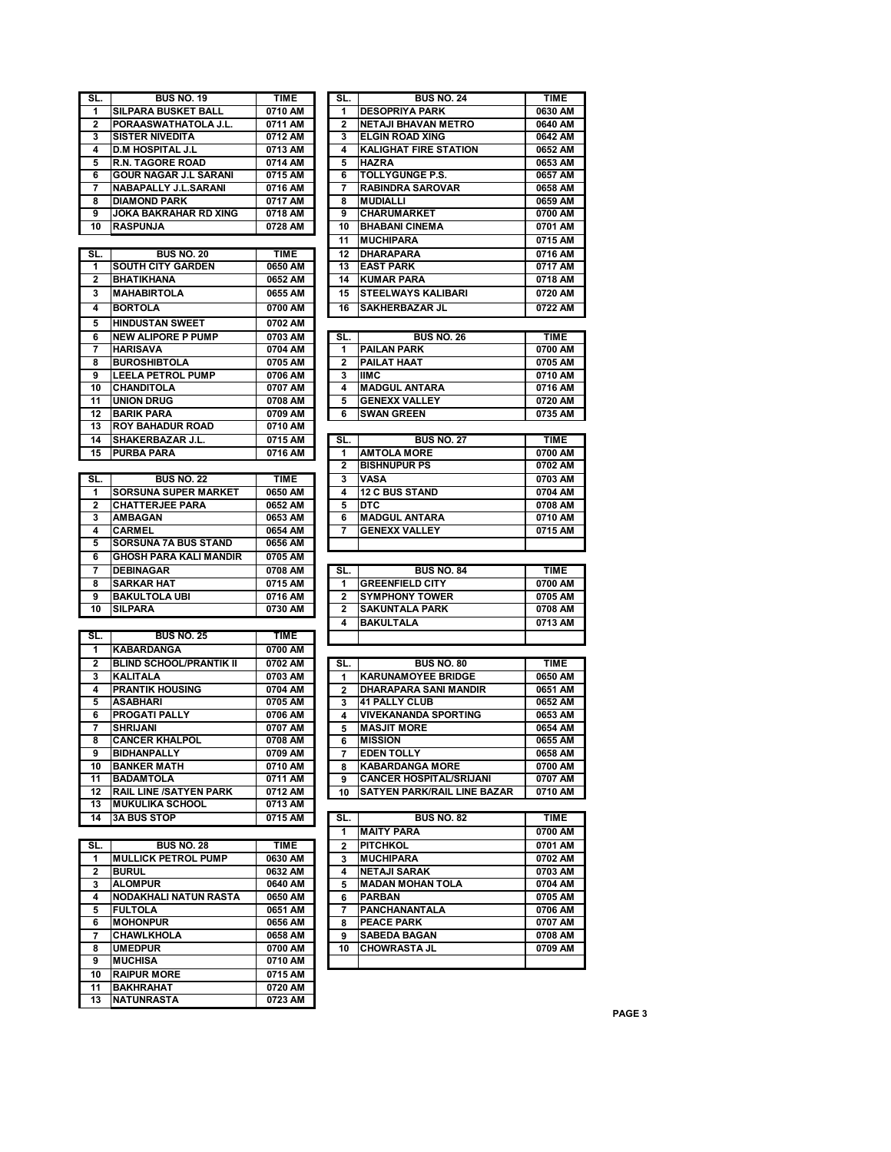| 2<br>PORAASWATHATOLA J.L.<br><b>SISTER NIVEDITA</b><br>3<br>4<br>D.M HOSPITAL J.L<br>5<br>R.N. TAGORE ROAD<br><b>GOUR NAGAR J.L SARANI</b><br>6 |                    |
|-------------------------------------------------------------------------------------------------------------------------------------------------|--------------------|
|                                                                                                                                                 | 0711 AM            |
|                                                                                                                                                 | 0712 AM            |
|                                                                                                                                                 | 0713 AM            |
|                                                                                                                                                 | 0714 AM            |
|                                                                                                                                                 | 0715 AM            |
|                                                                                                                                                 | 0716 AM            |
| NABAPALLY J.L.SARANI<br>7<br><b>DIAMOND PARK</b><br>8                                                                                           | 0717 AM            |
|                                                                                                                                                 |                    |
| JOKA BAKRAHAR RD XING<br>9                                                                                                                      | 0718 AM            |
| 10<br><b>RASPUNJA</b>                                                                                                                           | 0728 AM            |
|                                                                                                                                                 |                    |
| SL.<br><b>BUS NO. 20</b>                                                                                                                        | <b>TIME</b>        |
| <b>SOUTH CITY GARDEN</b><br>1                                                                                                                   | 0650 AM            |
| 2<br>BHATIKHANA                                                                                                                                 | 0652 AM            |
| MAHABIRTOLA<br>3                                                                                                                                | 0655 AM            |
|                                                                                                                                                 |                    |
| <b>BORTOLA</b><br>4                                                                                                                             | 0700 AM            |
| <b>HINDUSTAN SWEET</b><br>5                                                                                                                     | 0702 AM            |
| <b>NEW ALIPORE P PUMP</b><br>6                                                                                                                  | 0703 AM            |
| 7<br>HARISAVA                                                                                                                                   | 0704 AM            |
| <b>BUROSHIBTOLA</b><br>8                                                                                                                        | 0705 AM            |
| <b>LEELA PETROL PUMP</b><br>9                                                                                                                   | 0706 AM            |
|                                                                                                                                                 |                    |
| 10<br>CHANDITOLA                                                                                                                                | 0707 AM            |
| 11<br><b>UNION DRUG</b>                                                                                                                         | 0708 AM            |
| 12<br>BARIK PARA                                                                                                                                | 0709 AM            |
| 13<br><b>ROY BAHADUR ROAD</b>                                                                                                                   | 0710 AM            |
| 14<br><b>SHAKERBAZAR J.L.</b>                                                                                                                   | 0715 AM            |
| 15<br>PURBA PARA                                                                                                                                | 0716 AM            |
|                                                                                                                                                 |                    |
| SL.<br><b>BUS NO. 22</b>                                                                                                                        | TIME               |
|                                                                                                                                                 |                    |
| SORSUNA SUPER MARKET<br>1                                                                                                                       | 0650 AM            |
| <b>CHATTERJEE PARA</b><br>2                                                                                                                     | 0652 AM            |
| 3<br><b>AMBAGAN</b>                                                                                                                             | 0653 AM            |
| 4<br><b>CARMEL</b>                                                                                                                              | 0654 AM            |
| 5<br>SORSUNA 7A BUS STAND                                                                                                                       | 0656 AM            |
| <b>GHOSH PARA KALI MANDIR</b><br>6                                                                                                              | 0705 AM            |
| <b>DEBINAGAR</b><br>7                                                                                                                           | 0708 AM            |
| 8<br>SARKAR HAT                                                                                                                                 | 0715 AM            |
|                                                                                                                                                 | 0716 AM            |
|                                                                                                                                                 |                    |
| <b>BAKULTOLA UBI</b><br>9                                                                                                                       |                    |
| <b>SILPARA</b><br>10                                                                                                                            | 0730 AM            |
|                                                                                                                                                 |                    |
| SL.<br><b>BUS NO. 25</b>                                                                                                                        | TIME               |
| <b>KABARDANGA</b><br>1                                                                                                                          | 0700 AM            |
| <b>BLIND SCHOOL/PRANTIK II</b><br>2                                                                                                             | 0702 AM            |
|                                                                                                                                                 |                    |
| 3<br>KALITALA                                                                                                                                   | 0703 AM            |
| <b>PRANTIK HOUSING</b><br>4                                                                                                                     | 0704 AM            |
| 5<br>ASABHARI                                                                                                                                   | 0705 AM            |
| PROGATI PALLY<br>6                                                                                                                              | 0706 AM            |
| SHRIJANI<br>7                                                                                                                                   | 0707 AM            |
| 8<br><b>CANCER KHALPOL</b>                                                                                                                      | 0708 AM            |
| BIDHANPALLY<br>9                                                                                                                                | 0709 AM            |
| <b>BANKER MATH</b><br>10                                                                                                                        | 0710 AM            |
| 11<br><b>BADAMTOLA</b>                                                                                                                          | 0711 AM            |
|                                                                                                                                                 |                    |
| 12<br><b>RAIL LINE /SATYEN PARK</b>                                                                                                             | 0712 AM            |
| <b>MUKULIKA SCHOOL</b><br>13                                                                                                                    | 0713 AM            |
| <b>3A BUS STOP</b><br>14                                                                                                                        | 0715 AM            |
|                                                                                                                                                 |                    |
| SL.<br><b>BUS NO. 28</b>                                                                                                                        | <b>TIME</b>        |
| <b>MULLICK PETROL PUMP</b><br>1                                                                                                                 | 0630 AM            |
| 2<br><b>BURUL</b>                                                                                                                               | 0632 AM            |
|                                                                                                                                                 | 0640 AM            |
| <b>ALOMPUR</b><br>3                                                                                                                             |                    |
| 4<br>NODAKHALI NATUN RASTA                                                                                                                      | 0650 AM            |
| 5<br><b>FULTOLA</b>                                                                                                                             | 0651 AM            |
| <b>MOHONPUR</b><br>6                                                                                                                            | 0656 AM            |
| 7<br><b>CHAWLKHOLA</b>                                                                                                                          | 0658 AM            |
| 8<br><b>UMEDPUR</b>                                                                                                                             | 0700 AM            |
| <b>MUCHISA</b><br>9                                                                                                                             | 0710 AM            |
| <b>RAIPUR MORE</b><br>10                                                                                                                        | 0715 AM            |
| 11                                                                                                                                              |                    |
| <b>BAKHRAHAT</b><br>13<br>NATUNRASTA                                                                                                            | 0720 AM<br>0723 AM |

| SL.          | <b>BUS NO. 19</b>                              | <b>TIME</b>        | SL.                     | <b>BUS NO. 24</b>                         | TIME               |
|--------------|------------------------------------------------|--------------------|-------------------------|-------------------------------------------|--------------------|
| 1            | <b>SILPARA BUSKET BALL</b>                     | 0710 AM            | 1                       | <b>DESOPRIYA PARK</b>                     | 0630 AM            |
| 2            | PORAASWATHATOLA J.L.                           | 0711 AM            | 2                       | <b>NETAJI BHAVAN METRO</b>                | 0640 AM            |
| 3            | <b>SISTER NIVEDITA</b>                         | 0712 AM            | 3                       | <b>ELGIN ROAD XING</b>                    | 0642 AM            |
| 4            | <b>D.M HOSPITAL J.L</b>                        | 0713 AM            | 4                       | <b>KALIGHAT FIRE STATION</b>              | 0652 AM            |
| 5            | <b>R.N. TAGORE ROAD</b>                        | 0714 AM            | 5                       | <b>HAZRA</b>                              | 0653 AM            |
| 6            | <b>GOUR NAGAR J.L SARANI</b>                   | 0715 AM            | 6                       | <b>TOLLYGUNGE P.S.</b>                    | 0657 AM            |
| 7            | <b>NABAPALLY J.L.SARANI</b>                    | 0716 AM            | 7                       | <b>RABINDRA SAROVAR</b>                   | 0658 AM            |
| 8            | <b>DIAMOND PARK</b>                            | 0717 AM            | 8                       | <b>MUDIALLI</b>                           | 0659 AM            |
| 9            | <b>JOKA BAKRAHAR RD XING</b>                   | 0718 AM            | 9                       | <b>CHARUMARKET</b>                        | 0700 AM            |
| 10           | <b>RASPUNJA</b>                                | 0728 AM            | 10                      | <b>BHABANI CINEMA</b>                     | 0701 AM            |
|              |                                                |                    | 11                      | <b>MUCHIPARA</b>                          | 0715 AM            |
| SL.          | <b>BUS NO. 20</b>                              | <b>TIME</b>        | 12                      | <b>DHARAPARA</b>                          | 0716 AM            |
| 1            | <b>SOUTH CITY GARDEN</b>                       | 0650 AM            | 13                      | <b>EAST PARK</b>                          | 0717 AM            |
| $\mathbf{2}$ | <b>BHATIKHANA</b>                              | 0652 AM            | 14                      | <b>KUMAR PARA</b>                         | 0718 AM            |
| 3            | <b>MAHABIRTOLA</b>                             | 0655 AM            | 15                      | STEELWAYS KALIBARI                        | 0720 AM            |
| 4            | <b>BORTOLA</b>                                 | 0700 AM            | 16                      | <b>SAKHERBAZAR JL</b>                     | 0722 AM            |
| 5            | <b>HINDUSTAN SWEET</b>                         | 0702 AM            |                         |                                           |                    |
| 6            | <b>NEW ALIPORE P PUMP</b>                      | 0703 AM            | SL.                     | <b>BUS NO. 26</b>                         | <b>TIME</b>        |
| 7            | <b>HARISAVA</b>                                | 0704 AM            | 1                       | <b>PAILAN PARK</b>                        | 0700 AM            |
| 8            | <b>BUROSHIBTOLA</b>                            | 0705 AM            | $\overline{\mathbf{2}}$ | <b>PAILAT HAAT</b>                        | 0705 AM            |
| 9            | <b>LEELA PETROL PUMP</b>                       | 0706 AM            | 3                       | <b>IIMC</b>                               | 0710 AM            |
| 10           | <b>CHANDITOLA</b>                              | 0707 AM            | 4                       | <b>MADGUL ANTARA</b>                      | 0716 AM            |
| 11           | <b>UNION DRUG</b>                              | 0708 AM            | 5                       | <b>GENEXX VALLEY</b>                      | 0720 AM            |
| 12           | <b>BARIK PARA</b>                              | 0709 AM            | 6                       | <b>SWAN GREEN</b>                         | 0735 AM            |
| 13           | <b>ROY BAHADUR ROAD</b>                        | 0710 AM            |                         |                                           |                    |
| 14           | <b>SHAKERBAZAR J.L.</b>                        | 0715 AM            | SL.                     | <b>BUS NO. 27</b>                         | <b>TIME</b>        |
| 15           | <b>PURBA PARA</b>                              | 0716 AM            | 1<br>$\mathbf{2}$       | <b>AMTOLA MORE</b><br><b>BISHNUPUR PS</b> | 0700 AM<br>0702 AM |
| SL.          | <b>BUS NO. 22</b>                              | <b>TIME</b>        | 3                       | <b>VASA</b>                               | 0703 AM            |
| 1            | <b>SORSUNA SUPER MARKET</b>                    | 0650 AM            | 4                       | <b>12 C BUS STAND</b>                     | 0704 AM            |
| 2            | <b>CHATTERJEE PARA</b>                         | 0652 AM            | 5                       | DTC                                       | 0708 AM            |
| 3            | AMBAGAN                                        | 0653 AM            | 6                       | <b>MADGUL ANTARA</b>                      | 0710 AM            |
| 4            | <b>CARMEL</b>                                  | 0654 AM            | 7                       | <b>GENEXX VALLEY</b>                      | 0715 AM            |
| 5            | <b>SORSUNA 7A BUS STAND</b>                    | 0656 AM            |                         |                                           |                    |
| 6            | <b>GHOSH PARA KALI MANDIR</b>                  | 0705 AM            |                         |                                           |                    |
| 7            | <b>DEBINAGAR</b>                               | 0708 AM            | SL.                     | <b>BUS NO. 84</b>                         | <b>TIME</b>        |
| 8            | <b>SARKAR HAT</b>                              | 0715 AM            | 1                       | <b>GREENFIELD CITY</b>                    | 0700 AM            |
| 9            | <b>BAKULTOLA UBI</b>                           | 0716 AM            | 2                       | <b>SYMPHONY TOWER</b>                     | 0705 AM            |
| 10           | <b>SILPARA</b>                                 | 0730 AM            | $\mathbf{2}$            | <b>SAKUNTALA PARK</b>                     | 0708 AM            |
|              |                                                |                    | 4                       | <b>BAKULTALA</b>                          | 0713 AM            |
| SL.          | <b>BUS NO. 25</b>                              | <b>TIME</b>        |                         |                                           |                    |
| 1            | KABARDANGA                                     | 0700 AM            |                         |                                           |                    |
| $\mathbf{2}$ | <b>BLIND SCHOOL/PRANTIK II</b>                 | 0702 AM            | SL.                     | <b>BUS NO. 80</b>                         | TIME               |
| 3            | <b>KALITALA</b>                                | 0703 AM            | 1                       | <b>KARUNAMOYEE BRIDGE</b>                 | 0650 AM            |
| 4            | <b>PRANTIK HOUSING</b>                         | 0704 AM            | $\overline{2}$          | <b>DHARAPARA SANI MANDIR</b>              | 0651 AM            |
| 5            | <b>ASABHARI</b>                                | 0705 AM            | 3                       | <b>41 PALLY CLUB</b>                      | 0652 AM            |
| 6            | <b>PROGATI PALLY</b>                           | 0706 AM            | 4                       | <b>VIVEKANANDA SPORTING</b>               | 0653 AM            |
| 7            | <b>SHRIJANI</b>                                | 0707 AM            | 5                       | <b>MASJIT MORE</b>                        | 0654 AM            |
| 8            | <b>CANCER KHALPOL</b>                          | 0708 AM            | 6                       | <b>MISSION</b>                            | 0655 AM            |
| 9            | <b>BIDHANPALLY</b>                             | 0709 AM            | 7                       | <b>EDEN TOLLY</b>                         | 0658 AM            |
| 10           | <b>BANKER MATH</b>                             | 0710 AM            | 8                       | <b>KABARDANGA MORE</b>                    | 0700 AM            |
| 11           | <b>BADAMTOLA</b>                               | 0711 AM            | 9                       | <b>CANCER HOSPITAL/SRIJANI</b>            | 0707 AM            |
| 12           | <b>RAIL LINE /SATYEN PARK</b>                  | 0712 AM            | 10                      | <b>SATYEN PARK/RAIL LINE BAZAR</b>        | 0710 AM            |
| 13           | <b>MUKULIKA SCHOOL</b>                         | 0713 AM            |                         |                                           |                    |
| 14           | <b>3A BUS STOP</b>                             | 0715 AM            | SL.                     | <b>BUS NO. 82</b>                         | TIME               |
|              |                                                |                    | 1                       | <b>MAITY PARA</b>                         | 0700 AM            |
| SL.          | <b>BUS NO. 28</b>                              | TIME               | $\mathbf{2}$            | <b>PITCHKOL</b>                           | 0701 AM            |
| 1            | <b>MULLICK PETROL PUMP</b>                     | 0630 AM            | 3                       | <b>MUCHIPARA</b>                          | 0702 AM            |
| $\mathbf{2}$ | <b>BURUL</b>                                   | 0632 AM            | 4                       | <b>NETAJI SARAK</b>                       | 0703 AM            |
| 3            | <b>ALOMPUR</b>                                 | 0640 AM            | 5.                      | <b>MADAN MOHAN TOLA</b>                   | 0704 AM            |
| 4            | <b>NODAKHALI NATUN RASTA</b><br><b>FULTOLA</b> | 0650 AM            | 6                       | <b>PARBAN</b>                             | 0705 AM<br>0706 AM |
| 5<br>6       | <b>MOHONPUR</b>                                | 0651 AM<br>0656 AM | 7                       | PANCHANANTALA<br><b>PEACE PARK</b>        | 0707 AM            |
| 7            | CHAWLKHOLA                                     | 0658 AM            | 8<br>9                  | <b>SABEDA BAGAN</b>                       | 0708 AM            |
| 8            | <b>UMEDPUR</b>                                 | 0700 AM            | 10                      | <b>CHOWRASTA JL</b>                       | 0709 AM            |
| 9            | <b>MUCHISA</b>                                 | 0710 AM            |                         |                                           |                    |
|              |                                                |                    |                         |                                           |                    |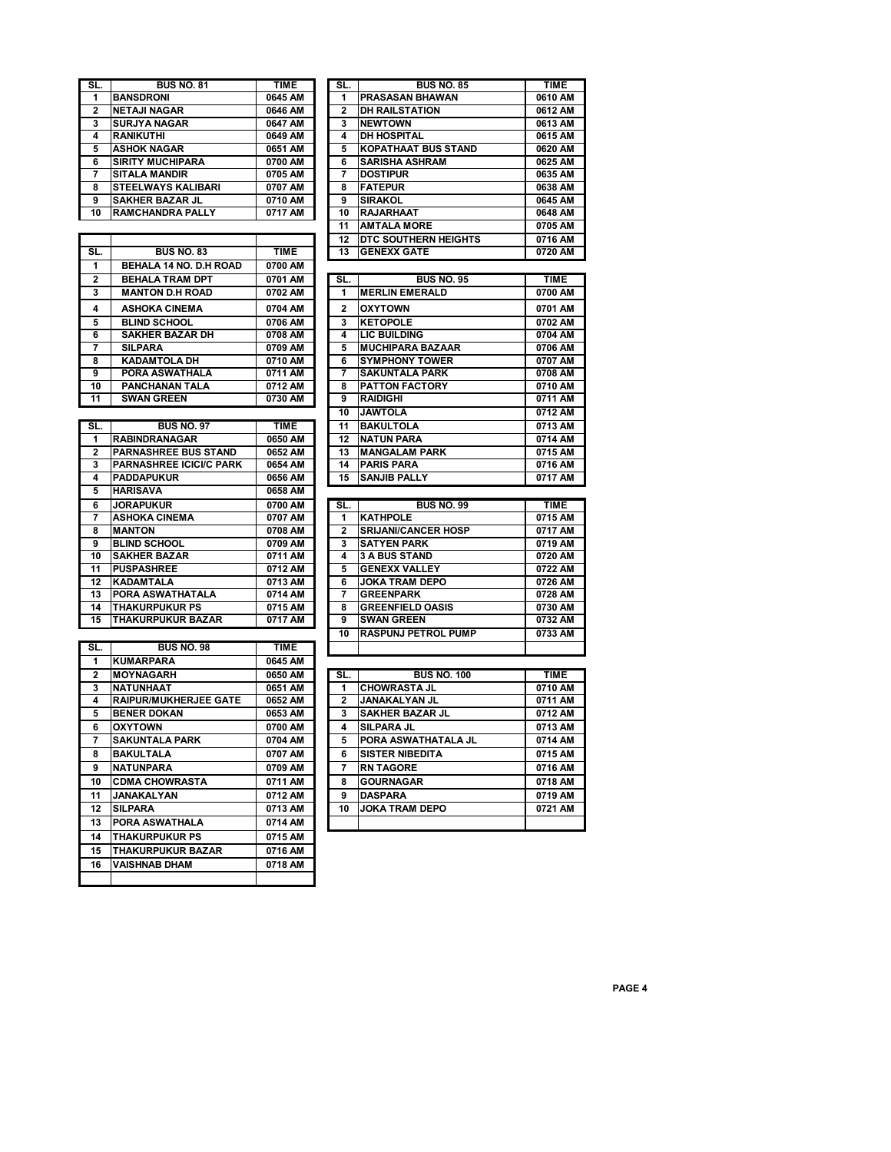| SL.                     | <b>BUS NO. 81</b>                      | <b>TIME</b>          | SL.                     | <b>BUS NO. 85</b>                                | <b>TIME</b>     |
|-------------------------|----------------------------------------|----------------------|-------------------------|--------------------------------------------------|-----------------|
| 1                       | <b>BANSDRONI</b>                       | 0645 AM              | 1                       | PRASASAN BHAWAN                                  | 0610 A          |
| $\overline{\mathbf{c}}$ | <b>NETAJI NAGAR</b>                    | 0646 AM              | $\overline{\mathbf{2}}$ | <b>DH RAILSTATION</b>                            | 0612 A          |
| 3                       | <b>SURJYA NAGAR</b>                    | 0647 AM<br>0649 AM   | 3<br>4                  | <b>NEWTOWN</b>                                   | 0613 A          |
| 4<br>5                  | <b>RANIKUTHI</b><br><b>ASHOK NAGAR</b> | 0651 AM              | 5                       | <b>DH HOSPITAL</b><br><b>KOPATHAAT BUS STAND</b> | 0615A<br>0620 A |
|                         | <b>SIRITY MUCHIPARA</b>                | 0700 AM              |                         |                                                  | 0625 A          |
| 6<br>7                  | <b>SITALA MANDIR</b>                   | 0705 AM              | 6<br>7                  | <b>SARISHA ASHRAM</b><br><b>DOSTIPUR</b>         | 0635 A          |
| 8                       | STEELWAYS KALIBARI                     | 0707 AM              | 8                       | <b>FATEPUR</b>                                   | 0638 A          |
| 9                       | <b>SAKHER BAZAR JL</b>                 | 0710 AM              | 9                       | <b>SIRAKOL</b>                                   | 0645 A          |
| 10                      |                                        |                      |                         |                                                  |                 |
|                         | <b>RAMCHANDRA PALLY</b>                | 0717 AM              | 10<br>11                | <b>RAJARHAAT</b><br><b>AMTALA MORE</b>           | 0648 A<br>0705A |
|                         |                                        |                      |                         |                                                  |                 |
|                         |                                        |                      | $\overline{12}$         | DTC SOUTHERN HEIGHTS                             | 0716A           |
| SL.                     | <b>BUS NO. 83</b>                      | <b>TIME</b>          | 13                      | <b>GENEXX GATE</b>                               | 0720A           |
| 1                       | BEHALA 14 NO. D.H ROAD                 | 0700 AM              |                         |                                                  |                 |
| $\overline{2}$          | <b>BEHALA TRAM DPT</b>                 | 0701 AM              | SL.                     | <b>BUS NO. 95</b>                                | <b>TIME</b>     |
| 3                       | <b>MANTON D.H ROAD</b>                 | 0702 AM              | 1                       | <b>MERLIN EMERALD</b>                            | 0700A           |
| $\overline{\mathbf{4}}$ | <b>ASHOKA CINEMA</b>                   | 0704 AM              | $\overline{2}$          | <b>OXYTOWN</b>                                   | 0701 A          |
| 5                       | <b>BLIND SCHOOL</b>                    | 0706 AM              | 3                       | <b>KETOPOLE</b>                                  | 0702A           |
| 6                       | <b>SAKHER BAZAR DH</b>                 | 0708 AM              | 4                       | <b>LIC BUILDING</b>                              | 0704 A          |
| 7                       | <b>SILPARA</b>                         | 0709 AM              | 5                       | <b>MUCHIPARA BAZAAR</b>                          | 0706 A          |
| 8                       | <b>KADAMTOLA DH</b>                    | 0710 AM              | 6                       | <b>SYMPHONY TOWER</b>                            | 0707 A          |
| 9                       | PORA ASWATHALA                         | 0711 AM              | 7                       | <b>SAKUNTALA PARK</b>                            | 0708A           |
| 10                      | PANCHANAN TALA                         | 0712 AM              | 8                       | <b>PATTON FACTORY</b>                            | 0710 A          |
| $\overline{11}$         | <b>SWAN GREEN</b>                      | 0730 AM              | 9                       | <b>RAIDIGHI</b>                                  | 0711A           |
|                         |                                        |                      | 10                      | <b>JAWTOLA</b>                                   | 0712A           |
| SL.                     | <b>BUS NO. 97</b>                      | <b>TIME</b>          | 11                      | <b>BAKULTOLA</b>                                 | 0713A           |
| 1                       | <b>RABINDRANAGAR</b>                   | 0650 AM              | 12                      | <b>NATUN PARA</b>                                | 0714 A          |
| 2                       | <b>PARNASHREE BUS STAND</b>            | 0652 AM              | $\overline{13}$         | <b>MANGALAM PARK</b>                             | 0715A           |
| 3                       | <b>PARNASHREE ICICI/C PARK</b>         | 0654 AM              | 14                      | <b>PARIS PARA</b>                                | 0716 A          |
| 4                       | <b>PADDAPUKUR</b>                      | 0656 AM              | 15                      | <b>SANJIB PALLY</b>                              | 0717A           |
| 5                       | <b>HARISAVA</b>                        | 0658 AM              |                         |                                                  |                 |
| 6                       | <b>JORAPUKUR</b>                       | 0700 AM              | SL.                     | <b>BUS NO. 99</b>                                | <b>TIME</b>     |
| $\overline{7}$          | <b>ASHOKA CINEMA</b>                   | 0707 AM              | 1                       | <b>KATHPOLE</b>                                  | 0715A           |
| 8                       | <b>MANTON</b>                          | 0708 AM              | 2                       | <b>SRIJANI/CANCER HOSP</b>                       | 0717A           |
| 9                       | <b>BLIND SCHOOL</b>                    | 0709 AM              | 3                       | <b>SATYEN PARK</b>                               | 0719A           |
| $\overline{10}$         | <b>SAKHER BAZAR</b>                    | 0711 AM              | 4                       | <b>3 A BUS STAND</b>                             | 0720A           |
| 11                      | <b>PUSPASHREE</b>                      | 0712 AM              | 5                       | <b>GENEXX VALLEY</b>                             | 0722 A          |
| 12                      | <b>KADAMTALA</b>                       | 0713 AM              | 6                       | <b>JOKA TRAM DEPO</b>                            | 0726A           |
| 13                      | PORA ASWATHATALA                       | $\overline{0714}$ AM | 7                       | <b>GREENPARK</b>                                 | 0728 A          |
| 14                      | <b>THAKURPUKUR PS</b>                  | 0715 AM              | 8                       | <b>GREENFIELD OASIS</b>                          | 0730 A          |
| 15                      | THAKURPUKUR BAZAR                      | 0717 AM              | 9                       | <b>SWAN GREEN</b>                                | 0732 A          |
|                         |                                        |                      | 10                      | <b>RASPUNJ PETROL PUMP</b>                       | 0733 A          |
| SL.                     | <b>BUS NO. 98</b>                      | <b>TIME</b>          |                         |                                                  |                 |
| 1                       | <b>KUMARPARA</b>                       | 0645 AM              |                         |                                                  |                 |
| 2                       | <b>MOYNAGARH</b>                       | 0650 AM              | SL.                     | <b>BUS NO. 100</b>                               | <b>TIME</b>     |
| 3                       | <b>NATUNHAAT</b>                       | 0651 AM              | 1                       | <b>CHOWRASTA JL</b>                              | 0710A           |
| 4                       | <b>RAIPUR/MUKHERJEE GATE</b>           | 0652 AM              | $\overline{\mathbf{2}}$ | JANAKALYAN JL                                    | 0711 A          |
| 5                       | <b>BENER DOKAN</b>                     | 0653 AM              | 3                       | <b>SAKHER BAZAR JL</b>                           | 0712A           |
| 6                       | <b>OXYTOWN</b>                         | 0700 AM              | 4                       | SILPARA JL                                       | 0713 A          |
| 7                       | <b>SAKUNTALA PARK</b>                  | 0704 AM              | 5                       | PORA ASWATHATALA JL                              | 0714 A          |
|                         |                                        |                      |                         |                                                  |                 |
| 8                       | <b>BAKULTALA</b>                       | 0707 AM              | 6                       | <b>SISTER NIBEDITA</b>                           | 0715 A          |
| 9                       | <b>NATUNPARA</b>                       | 0709 AM              | $\overline{7}$          | <b>RN TAGORE</b>                                 | 0716 A          |
| 10                      | <b>CDMA CHOWRASTA</b>                  | 0711 AM              | 8                       | <b>GOURNAGAR</b>                                 | 0718 A          |
| 11                      | JANAKALYAN                             | 0712 AM              | 9                       | <b>DASPARA</b>                                   | 0719 A          |
| 12                      | <b>SILPARA</b>                         | 0713 AM              | 10                      | <b>JOKA TRAM DEPO</b>                            | 0721 A          |
| 13                      | PORA ASWATHALA                         | 0714 AM              |                         |                                                  |                 |

**THAKURPUKUR PS 0715 AM**

**VAISHNAB DHAM 0718 AM**

**THAKURPUKUR BAZAR 0716 AM**

| JL.                   | DUJ NU. 01                                          | IIME               | JL.          | DUJ NU. 00                                | 1 IW C             |
|-----------------------|-----------------------------------------------------|--------------------|--------------|-------------------------------------------|--------------------|
| $\overline{1}$        | <b>BANSDRONI</b>                                    | 0645 AM            | 1            | PRASASAN BHAWAN                           | 0610 AM            |
| $\mathbf{2}$          | <b>NETAJI NAGAR</b>                                 | 0646 AM            | 2            | <b>DH RAILSTATION</b>                     | 0612 AM            |
| 3                     | <b>SURJYA NAGAR</b>                                 | 0647 AM            | 3            | <b>NEWTOWN</b>                            | 0613 AM            |
| 4                     | <b>RANIKUTHI</b>                                    | 0649 AM            | 4            | <b>DH HOSPITAL</b>                        | 0615 AM            |
| 5                     | <b>ASHOK NAGAR</b>                                  | 0651 AM            | 5            | <b>KOPATHAAT BUS STAND</b>                | 0620 AM            |
| 6                     | <b>SIRITY MUCHIPARA</b>                             | 0700 AM            | 6            | <b>SARISHA ASHRAM</b>                     | 0625 AM            |
| 7                     | <b>SITALA MANDIR</b>                                | 0705 AM            | 7            | <b>DOSTIPUR</b>                           | 0635 AM            |
| 8                     | <b>STEELWAYS KALIBARI</b>                           | 0707 AM            | 8            | <b>FATEPUR</b>                            | 0638 AM            |
| 9                     | <b>SAKHER BAZAR JL</b>                              | 0710 AM            | 9            | <b>SIRAKOL</b>                            | 0645 AM            |
| 10                    | <b>RAMCHANDRA PALLY</b>                             | 0717 AM            | 10           | <b>RAJARHAAT</b>                          | 0648 AM            |
|                       |                                                     |                    | 11           | <b>AMTALA MORE</b>                        | 0705 AM            |
|                       |                                                     |                    | 12           | <b>DTC SOUTHERN HEIGHTS</b>               | 0716 AM            |
| SL.                   | <b>BUS NO. 83</b>                                   | <b>TIME</b>        | 13           | <b>GENEXX GATE</b>                        | 0720 AM            |
| $\mathbf 1$           | BEHALA 14 NO. D.H ROAD                              | 0700 AM            |              |                                           |                    |
| $\overline{2}$<br>3   | <b>BEHALA TRAM DPT</b>                              | 0701 AM            | SL.<br>1     | <b>BUS NO. 95</b>                         | <b>TIME</b>        |
|                       | <b>MANTON D.H ROAD</b>                              | 0702 AM            |              | <b>MERLIN EMERALD</b>                     | 0700 AM            |
| 4                     | <b>ASHOKA CINEMA</b>                                | 0704 AM            | $\mathbf{2}$ | <b>OXYTOWN</b>                            | 0701 AM            |
| 5                     | <b>BLIND SCHOOL</b>                                 | 0706 AM            | 3            | <b>KETOPOLE</b>                           | 0702 AM            |
| 6                     | <b>SAKHER BAZAR DH</b>                              | 0708 AM            | 4            | <b>LIC BUILDING</b>                       | 0704 AM            |
| 7                     | <b>SILPARA</b>                                      | 0709 AM            | 5            | <b>MUCHIPARA BAZAAR</b>                   | 0706 AM            |
| 8                     | <b>KADAMTOLA DH</b>                                 | 0710 AM            | 6            | <b>SYMPHONY TOWER</b>                     | 0707 AM            |
| 9                     | PORA ASWATHALA                                      | 0711 AM            | 7            | <b>SAKUNTALA PARK</b>                     | 0708 AM            |
| 10<br>$\overline{11}$ | <b>PANCHANAN TALA</b><br><b>SWAN GREEN</b>          | 0712 AM<br>0730 AM | 8<br>9       | <b>PATTON FACTORY</b><br><b>RAIDIGHI</b>  | 0710 AM<br>0711 AM |
|                       |                                                     |                    | 10           | <b>JAWTOLA</b>                            | 0712 AM            |
|                       |                                                     |                    |              |                                           |                    |
| SL.                   | <b>BUS NO. 97</b>                                   | <b>TIME</b>        | 11           | <b>BAKULTOLA</b>                          | 0713 AM            |
| 1<br>$\mathbf{2}$     | <b>RABINDRANAGAR</b><br><b>PARNASHREE BUS STAND</b> | 0650 AM<br>0652 AM | 12<br>13     | <b>NATUN PARA</b><br><b>MANGALAM PARK</b> | 0714 AM<br>0715 AM |
| 3                     | <b>PARNASHREE ICICI/C PARK</b>                      | 0654 AM            | 14           | <b>PARIS PARA</b>                         | 0716 AM            |
| 4                     | <b>PADDAPUKUR</b>                                   | 0656 AM            | 15           | <b>SANJIB PALLY</b>                       | 0717 AM            |
| 5                     | <b>HARISAVA</b>                                     | 0658 AM            |              |                                           |                    |
| 6                     | <b>JORAPUKUR</b>                                    | 0700 AM            | SL.          | <b>BUS NO. 99</b>                         | <b>TIME</b>        |
| 7                     | <b>ASHOKA CINEMA</b>                                | 0707 AM            | 1            | <b>KATHPOLE</b>                           | 0715 AM            |
| 8                     | <b>MANTON</b>                                       | 0708 AM            | $\mathbf{2}$ | <b>SRIJANI/CANCER HOSP</b>                | 0717 AM            |
| 9                     | <b>BLIND SCHOOL</b>                                 | 0709 AM            | 3            | <b>SATYEN PARK</b>                        | 0719 AM            |
| 10                    | <b>SAKHER BAZAR</b>                                 | 0711 AM            | 4            | <b>3 A BUS STAND</b>                      | 0720 AM            |
| 11                    | <b>PUSPASHREE</b>                                   | 0712 AM            | 5            | <b>GENEXX VALLEY</b>                      | 0722 AM            |
| 12                    | <b>KADAMTALA</b>                                    | 0713 AM            | 6            | <b>JOKA TRAM DEPO</b>                     | 0726 AM            |
| 13                    | PORA ASWATHATALA                                    | 0714 AM            | 7            | <b>GREENPARK</b>                          | 0728 AM            |
| 14                    | <b>THAKURPUKUR PS</b>                               | 0715 AM            | 8            | <b>GREENFIELD OASIS</b>                   | 0730 AM            |
| 15                    | <b>THAKURPUKUR BAZAR</b>                            | 0717 AM            | ۹            | <b>SWAN GREEN</b>                         | 0732 AM            |
|                       |                                                     |                    | 10           | <b>RASPUNJ PETROL PUMP</b>                | 0733 AM            |
| SL.                   | <b>BUS NO. 98</b>                                   | <b>TIME</b>        |              |                                           |                    |
| 1                     | <b>KUMARPARA</b>                                    | 0645 AM            |              |                                           |                    |
| $\overline{2}$        | <b>MOYNAGARH</b>                                    | 0650 AM            | SL.          | <b>BUS NO. 100</b>                        | <b>TIME</b>        |
| 3                     | <b>NATUNHAAT</b>                                    | 0651 AM            | 1            | <b>CHOWRASTA JL</b>                       | 0710 AM            |
| 4                     | <b>RAIPUR/MUKHERJEE GATE</b>                        | 0652 AM            | 2            | JANAKALYAN JL                             | 0711 AM            |
| 5                     | <b>BENER DOKAN</b>                                  | 0653 AM            | 3            | <b>SAKHER BAZAR JL</b>                    | 0712 AM            |
| 6                     | <b>OXYTOWN</b>                                      | 0700 AM            | 4            | <b>SILPARA JL</b>                         | 0713 AM            |
| $\overline{7}$        | <b>SAKUNTALA PARK</b>                               | 0704 AM            | 5            | PORA ASWATHATALA JL                       | 0714 AM            |
| 8                     | <b>BAKULTALA</b>                                    | 0707 AM            | 6            | <b>SISTER NIBEDITA</b>                    | 0715 AM            |
| 9                     | <b>NATUNPARA</b>                                    | 0709 AM            | 7            | <b>RN TAGORE</b>                          | 0716 AM            |
| 10                    | <b>CDMA CHOWRASTA</b>                               | 0711 AM            | 8            | <b>GOURNAGAR</b>                          | 0718 AM            |
| 11                    | <b>JANAKALYAN</b>                                   | 0712 AM            | 9            | <b>DASPARA</b>                            | 0719 AM            |
| 12                    | <b>SILPARA</b>                                      | 0713 AM            | 10           | <b>JOKA TRAM DEPO</b>                     | 0721 AM            |

**PAGE 4**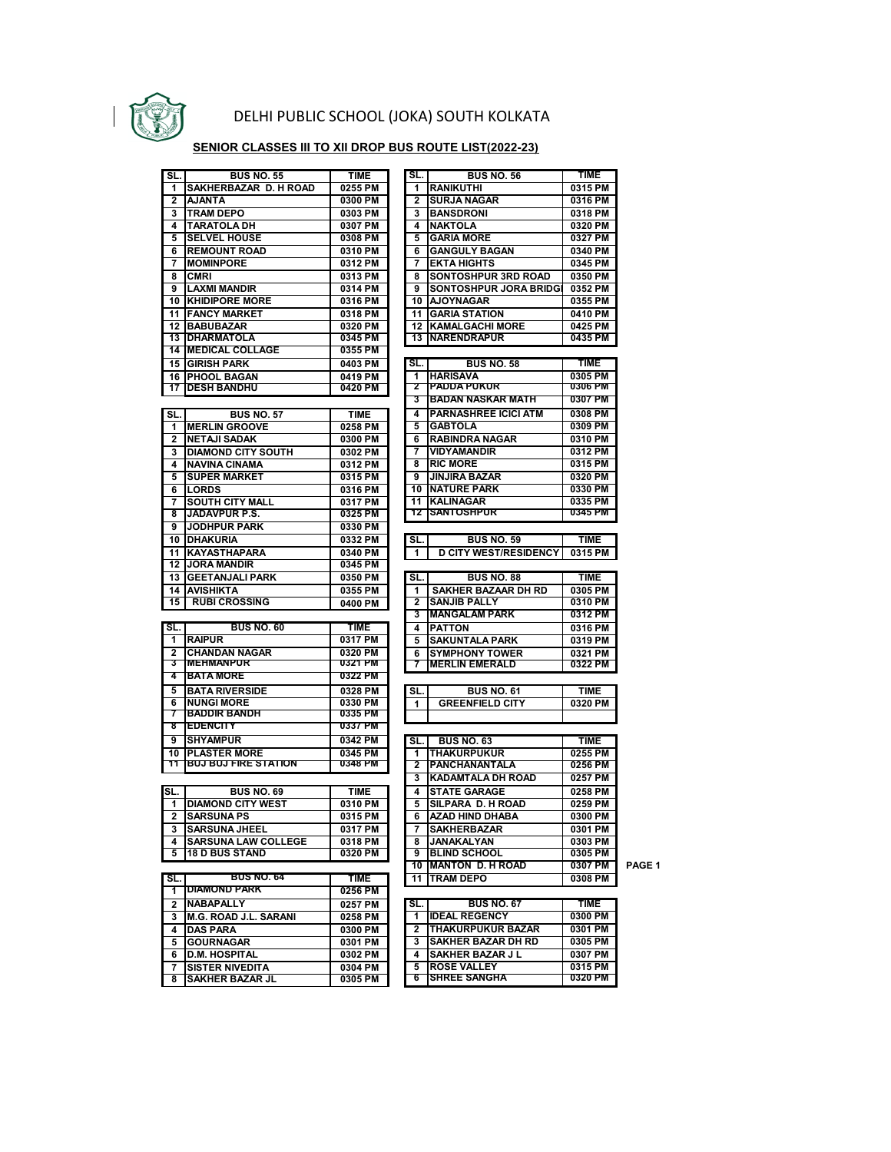

## DELHI PUBLIC SCHOOL (JOKA) SOUTH KOLKATA

## **SENIOR CLASSES III TO XII DROP BUS ROUTE LIST(2022-23)**

| SL.             | <b>BUS NO. 55</b>                                | TIME               | SL.                     | <b>BUS NO. 56</b>                         | TIME               |
|-----------------|--------------------------------------------------|--------------------|-------------------------|-------------------------------------------|--------------------|
| 1               | SAKHERBAZAR D. H ROAD                            | 0255 PM            | 1                       | <b>RANIKUTHI</b>                          | 0315 PM            |
| 2               | <b>AJANTA</b>                                    | 0300 PM            | $\overline{2}$          | <b>SURJA NAGAR</b>                        | 0316 PM            |
| 3               | <b>TRAM DEPO</b>                                 | 0303 PM            | 3                       | <b>BANSDRONI</b>                          | 0318 PM            |
| 4               | <b>TARATOLA DH</b>                               | 0307 PM            | 4                       | <b>NAKTOLA</b>                            | 0320 PM            |
| 5               | <b>SELVEL HOUSE</b>                              | 0308 PM            | 5                       | <b>GARIA MORE</b>                         | 0327 PM            |
| 6               | <b>REMOUNT ROAD</b>                              | 0310 PM            | 6                       | <b>GANGULY BAGAN</b>                      | 0340 PM            |
| 7               | <b>MOMINPORE</b>                                 | 0312 PM            | 7                       | <b>EKTA HIGHTS</b>                        | 0345 PM            |
| 8               | <b>CMRI</b>                                      | 0313 PM            | 8                       | SONTOSHPUR 3RD ROAD                       | 0350 PM            |
| 9               | <b>LAXMI MANDIR</b>                              | 0314 PM            | 9                       | <b>SONTOSHPUR JORA BRIDG</b>              | 0352 PM            |
| 10              | <b>KHIDIPORE MORE</b>                            | 0316 PM            | 10                      | <b>AJOYNAGAR</b>                          | 0355 PM            |
| 11              | <b>FANCY MARKET</b>                              | 0318 PM            | 11                      | <b>GARIA STATION</b>                      | 0410 PM            |
| 12              | <b>BABUBAZAR</b>                                 | 0320 PM            | 12                      | <b>KAMALGACHI MORE</b>                    | 0425 PM            |
| $\overline{13}$ | <b>DHARMATOLA</b>                                | 0345 PM            | $\overline{13}$         | <b>NARENDRAPUR</b>                        | 0435 PM            |
|                 | <b>14 MEDICAL COLLAGE</b>                        | 0355 PM            |                         |                                           |                    |
| 15              | <b>GIRISH PARK</b>                               | 0403 PM            | SL.                     | <b>BUS NO. 58</b>                         | <b>TIME</b>        |
| 16              | <b>PHOOL BAGAN</b>                               | 0419 PM            | 1                       | <b>HARISAVA</b>                           | 0305 PM            |
| 17              | <b>DESH BANDHU</b>                               | 0420 PM            | 2                       | <b>PADDA PUKUR</b>                        | 0306 PM            |
|                 |                                                  |                    | 3                       | <b>BADAN NASKAR MATH</b>                  | 0307 PM            |
| SL.             | <b>BUS NO. 57</b>                                | <b>TIME</b>        | 4                       | <b>PARNASHREE ICICI ATM</b>               | 0308 PM            |
| 1               | <b>MERLIN GROOVE</b>                             | 0258 PM            | 5                       | <b>GABTOLA</b>                            | 0309 PM            |
| $\overline{2}$  | <b>NETAJI SADAK</b>                              | 0300 PM            | 6                       | <b>RABINDRA NAGAR</b>                     | 0310 PM            |
| 3               | <b>DIAMOND CITY SOUTH</b>                        | 0302 PM            | 7                       | <b>VIDYAMANDIR</b>                        | 0312 PM            |
| 4               | <b>NAVINA CINAMA</b>                             | 0312 PM            | 8                       | <b>RIC MORE</b>                           | 0315 PM            |
| 5               | <b>SUPER MARKET</b>                              | 0315 PM            | 9                       | <b>JINJIRA BAZAR</b>                      | 0320 PM            |
| 6               | <b>LORDS</b>                                     | 0316 PM            | 10                      | <b>NATURE PARK</b>                        | 0330 PM            |
| 7               | <b>SOUTH CITY MALL</b>                           | 0317 PM            | 11                      | <b>KALINAGAR</b>                          | 0335 PM            |
| 8               | <b>JADAVPUR P.S.</b>                             | 0325 PM            | 12                      | <b>SANTOSHPUR</b>                         | 0345 PM            |
| 9               | <b>JODHPUR PARK</b>                              | 0330 PM            |                         |                                           |                    |
| 10              | <b>DHAKURIA</b>                                  | 0332 PM            | SL.                     | <b>BUS NO. 59</b>                         | <b>TIME</b>        |
| 11              | <b>KAYASTHAPARA</b>                              | 0340 PM            | 1                       | <b>D CITY WEST/RESIDENCY</b>              | 0315 PM            |
| 12              | <b>JORA MANDIR</b>                               | 0345 PM            |                         |                                           |                    |
| 13              | <b>GEETANJALI PARK</b>                           | 0350 PM            | SL.                     | <b>BUS NO. 88</b>                         | <b>TIME</b>        |
| 14              | <b>AVISHIKTA</b>                                 | 0355 PM            | 1                       | <b>SAKHER BAZAAR DH RD</b>                | 0305 PM            |
| 15              | <b>RUBI CROSSING</b>                             | 0400 PM            | $\overline{\mathbf{2}}$ | <b>SANJIB PALLY</b>                       | 0310 PM            |
|                 |                                                  |                    | 3                       | <b>MANGALAM PARK</b>                      | 0312 PM            |
| SL.             | <b>BUS NO. 60</b>                                | <b>TIME</b>        | 4                       | <b>PATTON</b>                             | 0316 PM            |
| $\mathbf 1$     | <b>RAIPUR</b>                                    | 0317 PM            | 5                       | <b>SAKUNTALA PARK</b>                     | 0319 PM            |
| $\mathbf{2}$    | <b>CHANDAN NAGAR</b>                             | 0320 PM            | 6                       | <b>SYMPHONY TOWER</b>                     | 0321 PM            |
| 3               | <b>MEHMANPUR</b>                                 | 0321 PM            | 7                       | <b>MERLIN EMERALD</b>                     | 0322 PM            |
| 4               | <b>BATA MORE</b>                                 | 0322 PM            |                         |                                           |                    |
| 5               | <b>BATA RIVERSIDE</b>                            | 0328 PM            | SL.                     | <b>BUS NO. 61</b>                         | <b>TIME</b>        |
| 6               | <b>NUNGI MORE</b>                                | 0330 PM            | 1                       | <b>GREENFIELD CITY</b>                    | 0320 PM            |
| $\tau$          | <b>BADDIR BANDH</b>                              | 0335 PM            |                         |                                           |                    |
| ष्ठ             | <b>EDENCITY</b>                                  | 0337 PM            |                         |                                           |                    |
| 9               | <b>SHYAMPUR</b>                                  | 0342 PM            | SL.                     | <b>BUS NO. 63</b>                         | <b>TIME</b>        |
| 10              | <b>PLASTER MORE</b>                              | 0345 PM            | 1                       | <b>THAKURPUKUR</b>                        | 0255 PM            |
| 11              | <b>BUJ BUJ FIRE STATION</b>                      | 0348 PM            | $\mathbf{2}$            | <b>PANCHANANTALA</b>                      | 0256 PM            |
|                 |                                                  |                    | 3                       | <b>KADAMTALA DH ROAD</b>                  | 0257 PM            |
| SL.             | <b>BUS NO. 69</b>                                | <b>TIME</b>        | 4                       | <b>STATE GARAGE</b>                       | 0258 PM            |
| 1               | <b>DIAMOND CITY WEST</b>                         | 0310 PM            | 5                       | SILPARA D. H ROAD                         | 0259 PM            |
| 2               | <b>SARSUNA PS</b>                                | 0315 PM            | 6                       | AZAD HIND DHABA                           | 0300 PM            |
| 3               | <b>SARSUNA JHEEL</b>                             | 0317 PM            | 7                       | <b>SAKHERBAZAR</b>                        | 0301 PM            |
| 4               | <b>SARSUNA LAW COLLEGE</b>                       | 0318 PM            | 8                       | <b>JANAKALYAN</b>                         | 0303 PM            |
| 5               | <b>18 D BUS STAND</b>                            | 0320 PM            | 9                       | <b>BLIND SCHOOL</b>                       | 0305 PM            |
|                 |                                                  |                    |                         | 10 MANTON D. H ROAD                       | 0307 PM            |
| SL.             | <b>BUS NO. 64</b>                                | <b>TIME</b>        | 11                      | <b>TRAM DEPO</b>                          | 0308 PM            |
| 1               | <b>DIAMOND PARK</b>                              | 0256 PM            |                         |                                           |                    |
|                 | <b>NABAPALLY</b>                                 | 0257 PM            | SL.                     | <b>BUS NO. 67</b>                         | <b>TIME</b>        |
|                 |                                                  | 0258 PM            | 1                       | <b>IDEAL REGENCY</b>                      | 0300 PM            |
| 2               |                                                  |                    |                         |                                           |                    |
| 3               | <b>M.G. ROAD J.L. SARANI</b>                     |                    |                         |                                           |                    |
| 4               | <b>DAS PARA</b>                                  | 0300 PM            | 2                       | <b>THAKURPUKUR BAZAR</b>                  | 0301 PM            |
| 5               | <b>GOURNAGAR</b>                                 | 0301 PM            | 3                       | <b>SAKHER BAZAR DH RD</b>                 | 0305 PM            |
| 6               | <b>D.M. HOSPITAL</b>                             | 0302 PM            | 4                       | <b>SAKHER BAZAR J L</b>                   | 0307 PM            |
| 7<br>8          | <b>SISTER NIVEDITA</b><br><b>SAKHER BAZAR JL</b> | 0304 PM<br>0305 PM | 5<br>6                  | <b>ROSE VALLEY</b><br><b>SHREE SANGHA</b> | 0315 PM<br>0320 PM |

| SL.            | <b>BUS NO. 56</b>                         | <b>TIME</b>        |
|----------------|-------------------------------------------|--------------------|
| 1              | <b>RANIKUTHI</b>                          | 0315 PM            |
| 2              | SURJA NAGAR                               | 0316 PM            |
| 3              | <b>BANSDRONI</b>                          | 0318 PM            |
| 4              | <b>NAKTOLA</b>                            | 0320 PM            |
| 5              | <b>GARIA MORE</b>                         | 0327 PM            |
| 6              | <b>GANGULY BAGAN</b>                      | 0340 PM            |
| 7              | <b>EKTA HIGHTS</b>                        | 0345 PM            |
| 8              | SONTOSHPUR 3RD ROAD                       | 0350 PM            |
| 9              | <b>SONTOSHPUR JORA BRIDGI</b>             | 0352 PM            |
| 10             | <b>AJOYNAGAR</b>                          | 0355 PM            |
| 11             | <b>GARIA STATION</b>                      | 0410 PM            |
| 12             | <b>KAMALGACHI MORE</b>                    | 0425 PM            |
| 13             | <b>NARENDRAPUR</b>                        | 0435 PM            |
|                |                                           |                    |
| SL.            | <b>BUS NO. 58</b>                         | <b>TIME</b>        |
| 1              | HARISAVA                                  | 0305 PM            |
| 2              | <b>PADDA PUKUR</b>                        | 0306 PM            |
| 3              | <b>BADAN NASKAR MATH</b>                  | 0307 PM            |
|                |                                           |                    |
| 4              | <b>PARNASHREE ICICI ATM</b>               | 0308 PM            |
| 5              | <b>GABTOLA</b>                            | 0309 PM            |
| 6              | <b>RABINDRA NAGAR</b>                     | 0310 PM            |
| 7              | <b>VIDYAMANDIR</b>                        | 0312 PM            |
| 8              | <b>RIC MORE</b>                           | 0315 PM            |
| 9              | <b>JINJIRA BAZAR</b>                      | 0320 PM            |
| 10             | <b>NATURE PARK</b>                        | 0330 PM            |
| $\overline{1}$ | <b>KALINAGAR</b>                          | 0335 PM            |
| 12             | SANTOSHPUR                                | 0345 PM            |
|                |                                           |                    |
| SL.            | <b>BUS NO. 59</b>                         | <b>TIME</b>        |
| 1              | <b>D CITY WEST/RESIDENCY</b>              | 0315 PM            |
|                |                                           |                    |
| SL.            | <b>BUS NO. 88</b>                         | <b>TIME</b>        |
| 1              | <b>SAKHER BAZAAR DH RD</b>                | 0305 PM            |
| 2              | SANJIB PALLY                              | 0310 PM            |
| 3              | <b>MANGALAM PARK</b>                      | 0312 PM            |
| 4              | <b>PATTON</b>                             | 0316 PM            |
| 5              | <b>SAKUNTALA PARK</b>                     | 0319 PM            |
| 6              | <b>SYMPHONY TOWER</b>                     | 0321 PM            |
| 7              | <b>MERLIN EMERALD</b>                     | 0322 PM            |
|                |                                           |                    |
| SL.            | <b>BUS NO. 61</b>                         | <b>TIME</b>        |
| 1              | <b>GREENFIELD CITY</b>                    | 0320 PM            |
|                |                                           |                    |
|                |                                           |                    |
| SL.            | <b>BUS NO. 63</b>                         | <b>TIME</b>        |
| 1              | THAKURPUKUR                               | 0255 PM            |
| 2              | <b>PANCHANANTALA</b>                      | 0256 PM            |
| 3              | <b>KADAMTALA DH ROAD</b>                  | 0257 PM            |
| 4              | <b>STATE GARAGE</b>                       | 0258 PM            |
| 5              | <b>SILPARA D. H ROAD</b>                  | 0259 PM            |
| 6              | <b>AZAD HIND DHABA</b>                    | 0300 PM            |
| 7              | <b>SAKHERBAZAR</b>                        | 0301 PM            |
| 8              | <b>JANAKALYAN</b>                         | 0303 PM            |
| 9              | <b>BLIND SCHOOL</b>                       | 0305 PM            |
| 10             | <b>MANTON D. H ROAD</b>                   | 0307 PM            |
| 11             | <b>TRAM DEPO</b>                          | 0308 PM            |
|                |                                           |                    |
| SL.            | <b>BUS NO. 67</b>                         | <b>TIME</b>        |
| 1              | <b>IDEAL REGENCY</b>                      | 0300 PM            |
| 2              | <b>THAKURPUKUR BAZAR</b>                  | 0301 PM            |
|                |                                           |                    |
| 3              | <b>SAKHER BAZAR DH RD</b>                 | 0305 PM            |
| 4              | <b>SAKHER BAZAR J L</b>                   | 0307 PM            |
| 5<br>6         | <b>ROSE VALLEY</b><br><b>SHREE SANGHA</b> | 0315 PM<br>0320 PM |
|                |                                           |                    |

**PAGE 1**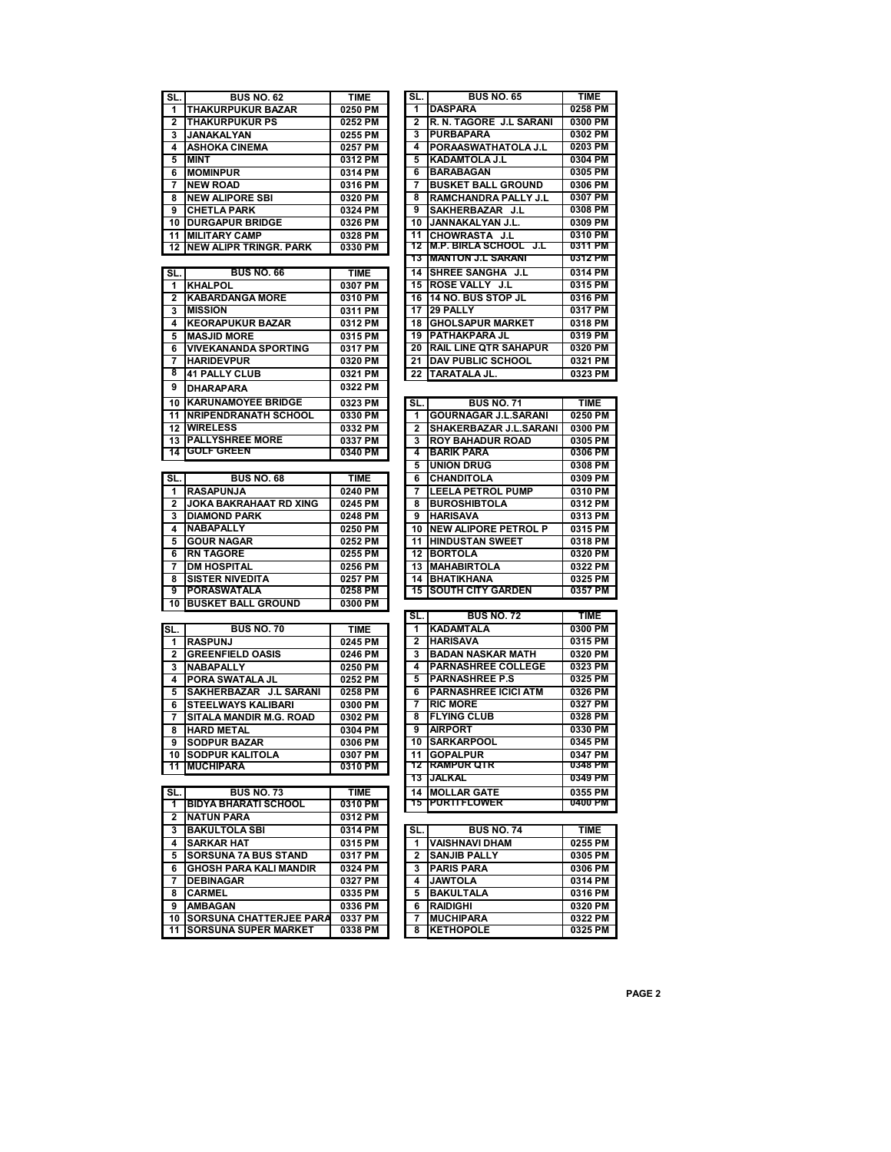| SL.             | <b>BUS NO. 62</b>              | <b>TIME</b> | SL.          | <b>BUS NO. 65</b>                           | <b>TIME</b> |
|-----------------|--------------------------------|-------------|--------------|---------------------------------------------|-------------|
| 1               | <b>THAKURPUKUR BAZAR</b>       | 0250 PM     | 1            | <b>DASPARA</b>                              | 0258 PM     |
|                 |                                |             | 2            |                                             | 0300 PM     |
| 2               | <b>THAKURPUKUR PS</b>          | 0252 PM     |              | R. N. TAGORE J.L SARANI<br><b>PURBAPARA</b> |             |
| 3               | <b>JANAKALYAN</b>              | 0255 PM     | 3            |                                             | 0302 PM     |
| 4               | ASHOKA CINEMA                  | 0257 PM     | 4            | PORAASWATHATOLA J.L                         | 0203 PM     |
| 5               | <b>MINT</b>                    | 0312 PM     | 5            | <b>KADAMTOLA J.L</b>                        | 0304 PM     |
| 6               | <b>MOMINPUR</b>                | 0314 PM     | 6            | <b>BARABAGAN</b>                            | 0305 PM     |
| 7               | <b>NEW ROAD</b>                | 0316 PM     | 7            | <b>BUSKET BALL GROUND</b>                   | 0306 PM     |
| 8               | <b>NEW ALIPORE SBI</b>         | 0320 PM     | 8            | RAMCHANDRA PALLY J.L                        | 0307 PM     |
| 9               | <b>CHETLA PARK</b>             | 0324 PM     | 9            | SAKHERBAZAR J.L                             | 0308 PM     |
| 10              | <b>DURGAPUR BRIDGE</b>         | 0326 PM     | 10           | JANNAKALYAN J.L.                            | 0309 PM     |
| 11              | <b>MILITARY CAMP</b>           | 0328 PM     | 11           | CHOWRASTA J.L                               | 0310 PM     |
| $\overline{12}$ | <b>NEW ALIPR TRINGR. PARK</b>  | 0330 PM     | 12           | <b>M.P. BIRLA SCHOOL</b> J.L                | 0311 PM     |
|                 |                                |             | 13           | <b>MANTON J.L SARANI</b>                    | 0312 PM     |
|                 | <b>BUS NO. 66</b>              | <b>TIME</b> |              | 14 SHREE SANGHA J.L                         | 0314 PM     |
| SL.             |                                |             |              |                                             |             |
| 1               | <b>KHALPOL</b>                 | 0307 PM     |              | 15 ROSE VALLY J.L                           | 0315 PM     |
| $\mathbf{2}$    | <b>KABARDANGA MORE</b>         | 0310 PM     |              | 16 14 NO. BUS STOP JL                       | 0316 PM     |
| 3               | <b>MISSION</b>                 | 0311 PM     | 17           | <b>29 PALLY</b>                             | 0317 PM     |
| 4               | <b>KEORAPUKUR BAZAR</b>        | 0312 PM     | 18           | <b>GHOLSAPUR MARKET</b>                     | 0318 PM     |
| 5               | <b>MASJID MORE</b>             | 0315 PM     | 19           | <b>PATHAKPARA JL</b>                        | 0319 PM     |
| 6               | <b>VIVEKANANDA SPORTING</b>    | 0317 PM     | 20           | <b>RAIL LINE QTR SAHAPUR</b>                | 0320 PM     |
| 7               | <b>HARIDEVPUR</b>              | 0320 PM     | 21           | <b>DAV PUBLIC SCHOOL</b>                    | 0321 PM     |
| 8               | <b>41 PALLY CLUB</b>           | 0321 PM     | 22           | <b>TARATALA JL.</b>                         | 0323 PM     |
| 9               |                                | 0322 PM     |              |                                             |             |
|                 | <b>DHARAPARA</b>               |             |              |                                             |             |
| 10              | <b>KARUNAMOYEE BRIDGE</b>      | 0323 PM     | SL.          | <b>BUS NO. 71</b>                           | <b>TIME</b> |
| 11              | <b>INRIPENDRANATH SCHOOL</b>   | 0330 PM     | 1            | <b>GOURNAGAR J.L.SARANI</b>                 | 0250 PM     |
| 12              | <b>WIRELESS</b>                | 0332 PM     | $\mathbf{2}$ | <b>SHAKERBAZAR J.L.SARANI</b>               | 0300 PM     |
| 13              | <b>PALLYSHREE MORE</b>         | 0337 PM     | 3            | <b>ROY BAHADUR ROAD</b>                     | 0305 PM     |
| 14              | <b>GOLF GREEN</b>              | 0340 PM     | 4            | <b>BARIK PARA</b>                           | 0306 PM     |
|                 |                                |             | 5            | <b>UNION DRUG</b>                           | 0308 PM     |
| SL.             | <b>BUS NO. 68</b>              | <b>TIME</b> | 6            | <b>CHANDITOLA</b>                           | 0309 PM     |
| 1               |                                |             | 7            |                                             |             |
|                 | <b>RASAPUNJA</b>               | 0240 PM     |              | <b>LEELA PETROL PUMP</b>                    | 0310 PM     |
| $\overline{2}$  | <b>JOKA BAKRAHAAT RD XING</b>  | 0245 PM     | 8            | <b>BUROSHIBTOLA</b>                         | 0312 PM     |
| 3               | <b>DIAMOND PARK</b>            | 0248 PM     | 9            | <b>HARISAVA</b>                             | 0313 PM     |
| 4               | <b>NABAPALLY</b>               | 0250 PM     | 10           | <b>NEW ALIPORE PETROL P</b>                 | 0315 PM     |
| 5               | <b>GOUR NAGAR</b>              | 0252 PM     | 11           | <b>HINDUSTAN SWEET</b>                      | 0318 PM     |
| 6               | <b>RN TAGORE</b>               | 0255 PM     | 12           | <b>BORTOLA</b>                              | 0320 PM     |
| 7               | <b>DM HOSPITAL</b>             | 0256 PM     | 13           | <b>MAHABIRTOLA</b>                          | 0322 PM     |
| 8               | <b>SISTER NIVEDITA</b>         | 0257 PM     | 14           | <b>BHATIKHANA</b>                           | 0325 PM     |
| 9               | PORASWATALA                    | 0258 PM     | 15           | <b>SOUTH CITY GARDEN</b>                    | 0357 PM     |
| 10              | <b>BUSKET BALL GROUND</b>      | 0300 PM     |              |                                             |             |
|                 |                                |             | SL.          | <b>BUS NO. 72</b>                           | <b>TIME</b> |
| SL.             | <b>BUS NO. 70</b>              | <b>TIME</b> | 1            | <b>KADAMTALA</b>                            | 0300 PM     |
| 1               | <b>RASPUNJ</b>                 | 0245 PM     | 2            | <b>HARISAVA</b>                             | 0315 PM     |
| 2               | <b>GREENFIELD OASIS</b>        | 0246 PM     | 3            | <b>BADAN NASKAR MATH</b>                    | 0320 PM     |
|                 |                                |             | 4            | <b>PARNASHREE COLLEGE</b>                   | 0323 PM     |
| 3               | <b>NABAPALLY</b>               | 0250 PM     |              |                                             |             |
| 4               | PORA SWATALA JL                | 0252 PM     | 5            | <b>PARNASHREE P.S</b>                       | 0325 PM     |
| 5               | SAKHERBAZAR J.L SARANI         | 0258 PM     | 6            | <b>PARNASHREE ICICI ATM</b>                 | 0326 PM     |
| 6               | <b>STEELWAYS KALIBARI</b>      | 0300 PM     | 7            | <b>RIC MORE</b>                             | 0327 PM     |
| 7               | SITALA MANDIR M.G. ROAD        | 0302 PM     | 8            | <b>FLYING CLUB</b>                          | 0328 PM     |
| 8               | <b>HARD METAL</b>              | 0304 PM     | 9            | <b>AIRPORT</b>                              | 0330 PM     |
| 9               | <b>SODPUR BAZAR</b>            | 0306 PM     |              | <b>10 SARKARPOOL</b>                        | 0345 PM     |
|                 | <b>10 SODPUR KALITOLA</b>      | 0307 PM     |              | 11 GOPALPUR                                 | 0347 PM     |
| 11              | <b>MUCHIPARA</b>               | 0310 PM     |              | <u>12 RAMPUR QTR</u>                        | 0348 PM     |
|                 |                                |             |              | 13 JALKAL                                   | 0349 PM     |
| SL.             | <b>BUS NO. 73</b>              | <b>TIME</b> |              | <b>14 MOLLAR GATE</b>                       | 0355 PM     |
| 1               | <b>BIDYA BHARATI SCHOOL</b>    | 0310 PM     |              | <u>15 PURTIFLOWER</u>                       | 0400 PM     |
|                 |                                |             |              |                                             |             |
| $\mathbf{2}$    | <b>NATUN PARA</b>              | 0312 PM     |              |                                             |             |
| 3               | <b>BAKULTOLA SBI</b>           | 0314 PM     | SL.          | <b>BUS NO. 74</b>                           | <b>TIME</b> |
| 4               | <b>SARKAR HAT</b>              | 0315 PM     | 1            | <b>VAISHNAVI DHAM</b>                       | 0255 PM     |
| 5               | <b>SORSUNA 7A BUS STAND</b>    | 0317 PM     | 2            | <b>SANJIB PALLY</b>                         | 0305 PM     |
| 6               | <b>GHOSH PARA KALI MANDIR</b>  | 0324 PM     | 3            | <b>PARIS PARA</b>                           | 0306 PM     |
| 7               | <b>DEBINAGAR</b>               | 0327 PM     | 4            | JAWTOLA                                     | 0314 PM     |
| 8               | <b>CARMEL</b>                  | 0335 PM     | 5            | <b>BAKULTALA</b>                            | 0316 PM     |
| 9               | AMBAGAN                        | 0336 PM     | 6            | <b>RAIDIGHI</b>                             | 0320 PM     |
| 10              | <b>SORSUNA CHATTERJEE PARA</b> | 0337 PM     | 7            | <b>MUCHIPARA</b>                            | 0322 PM     |
| 11              | <b>SORSUNA SUPER MARKET</b>    | 0338 PM     | 8            | <b>KETHOPOLE</b>                            | 0325 PM     |
|                 |                                |             |              |                                             |             |

| 1              | <b>DASPARA</b>                      | 0258 PM                    |
|----------------|-------------------------------------|----------------------------|
| 2              | R. N. TAGORE J.L SARANI             | 0300 PM                    |
| 3              | <b>PURBAPARA</b>                    | 0302 PM                    |
| 4              | PORAASWATHATOLA J.L                 | 0203 PM                    |
| 5              | <b>KADAMTOLA J.L</b>                | 0304 PM                    |
| 6              | <b>BARABAGAN</b>                    | 0305 PM                    |
| 7              | <b>BUSKET BALL GROUND</b>           | 0306 PM                    |
| 8              | <b>RAMCHANDRA PALLY J.L</b>         | 0307 PM                    |
| 9              | SAKHERBAZAR J.L                     | 0308 PM                    |
| 10             | JANNAKALYAN J.L.                    | 0309 PM                    |
| 11             | CHOWRASTA J.L                       | 0310 PM                    |
| 12             | <b>M.P. BIRLA SCHOOL J.L</b>        | 0311 PM                    |
| 13             | <b>MANTON J.L SARANI</b>            | 0312 PM                    |
| 14             | <b>SHREE SANGHA J.L</b>             | 0314 PM                    |
| 15             | ROSE VALLY J.L                      | 0315 PM                    |
| 16             | 14 NO. BUS STOP JL                  | 0316 PM                    |
| 17             | 29 PALLY                            | 0317 PM                    |
| 18             | <b>GHOLSAPUR MARKET</b>             | 0318 PM                    |
| 19             | PATHAKPARA JL                       | 0319 PM                    |
| 20             | <b>RAIL LINE QTR SAHAPUR</b>        | 0320 PM                    |
| 21             | <b>DAV PUBLIC SCHOOL</b>            | 0321 PM                    |
| 22             | TARATALA JL.                        | 0323 PM                    |
|                |                                     |                            |
|                |                                     |                            |
| SL.            | <b>BUS NO. 71</b>                   | <b>TIME</b>                |
| 1              | <b>GOURNAGAR J.L.SARANI</b>         | 0250 PM                    |
| 2              | SHAKERBAZAR J.L.SARANI              | 0300 PM                    |
| 3              | <b>ROY BAHADUR ROAD</b>             | 0305 PM                    |
| 4              | <b>BARIK PARA</b>                   | 0306 PM                    |
| 5              | <b>UNION DRUG</b>                   | 0308 PM                    |
| 6              | <b>CHANDITOLA</b>                   | 0309 PM                    |
| 7              | <b>LEELA PETROL PUMP</b>            | 0310 PM                    |
|                |                                     |                            |
| 8              | <b>BUROSHIBTOLA</b>                 | 0312 PM                    |
| 9              | <b>HARISAVA</b>                     | 0313 PM                    |
| 10             | <b>NEW ALIPORE PETROL P</b>         | 0315 PM                    |
| 11             | <b>HINDUSTAN SWEET</b>              | 0318 PM                    |
| 12             | <b>BORTOLA</b>                      | 0320 PM                    |
| 13             | <b>MAHABIRTOLA</b>                  | 0322 PM                    |
| 14             | <b>BHATIKHANA</b>                   | 0325 PM                    |
| 15             | <b>SOUTH CITY GARDEN</b>            | 0357 PM                    |
|                |                                     |                            |
| SL.            | <b>BUS NO. 72</b>                   | <b>TIME</b>                |
| 1              | <b>KADAMTALA</b>                    | 0300 PM                    |
| $\overline{2}$ | <b>HARISAVA</b>                     | 0315 PM                    |
| 3              | <b>BADAN NASKAR MATH</b>            | 0320 PM                    |
| 4              | <b>PARNASHREE COLLEGE</b>           | 0323 PM                    |
| 5              | <b>PARNASHREE P.S</b>               | 0325 PM                    |
|                | <b>PARNASHREE ICICI ATM</b>         |                            |
| 6              |                                     | 0326 PM                    |
| 7              | <b>RIC MORE</b>                     | 0327 PM                    |
| 8              | <b>FLYING CLUB</b>                  | 0328 PM                    |
| 9              | <b>AIRPORT</b>                      | 0330 PM                    |
| 10             | <b>SARKARPOOL</b>                   | 0345 PM                    |
| 11             | <b>GOPALPUR</b>                     | 0347 PM                    |
| 12             | <b>RAMPUR QTR</b>                   | 0348 PM                    |
| 13             | JALKAL                              | 0349 PM                    |
| 14             | <b>MOLLAR GATE</b>                  | 0355 PM                    |
| 15             | <b>PURTIFLOWER</b>                  | 0400 PM                    |
|                |                                     |                            |
| SL.            | <b>BUS NO. 74</b>                   | <b>TIME</b>                |
| 1              | <b>VAISHNAVI DHAM</b>               | 0255 PM                    |
| $\overline{2}$ | <b>SANJIB PALLY</b>                 | 0305 PM                    |
| 3              | <b>PARIS PARA</b><br><b>IAMTOLA</b> | 0306 PM<br><b>MO A ACO</b> |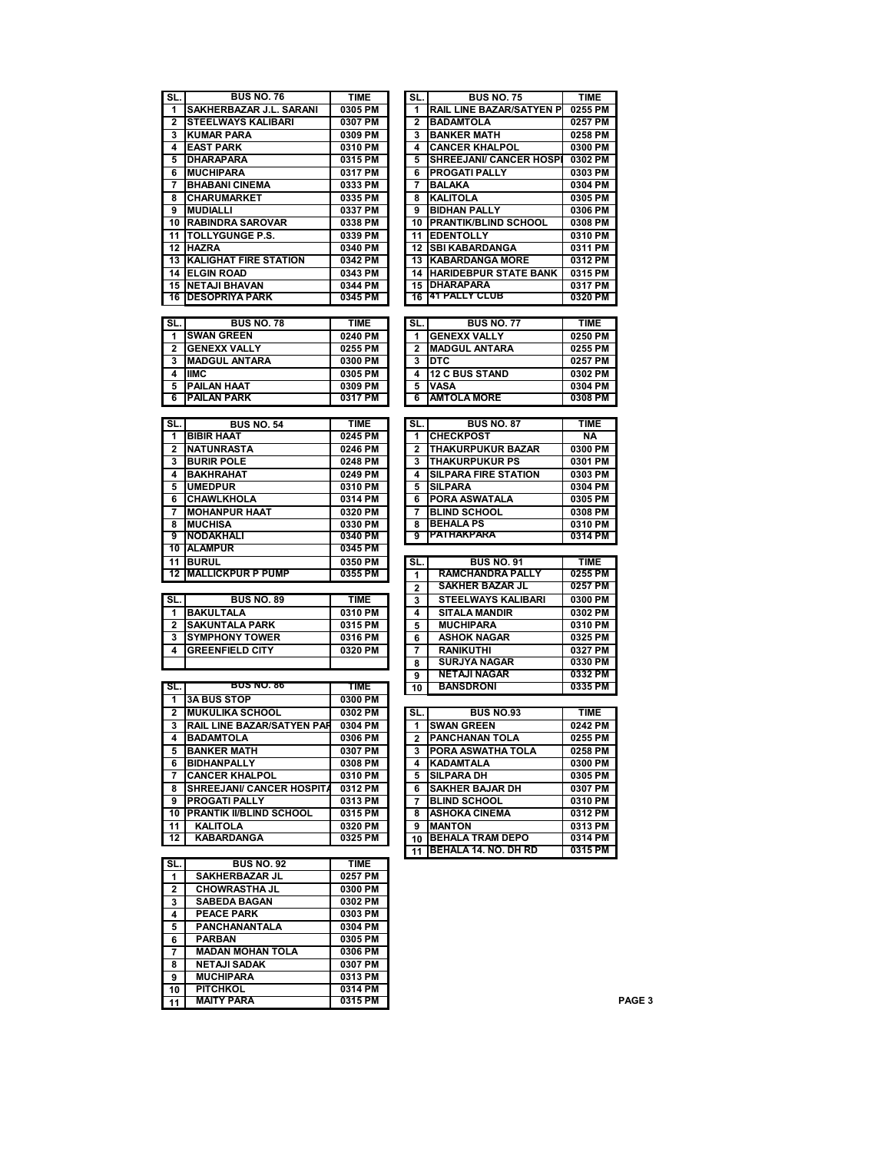| SL.                          | <b>BUS NO. 76</b>                      | <b>TIME</b> | SL.                     | <b>BUS NO. 75</b>                 | <b>TIME</b>        |                   |
|------------------------------|----------------------------------------|-------------|-------------------------|-----------------------------------|--------------------|-------------------|
| 1                            | SAKHERBAZAR J.L. SARANI                | 0305 PM     | 1                       | <b>RAIL LINE BAZAR/SATYEN P</b>   | 0255 PM            |                   |
| $\overline{\mathbf{2}}$      | <b>STEELWAYS KALIBARI</b>              | 0307 PM     | $\mathbf{2}$            | <b>BADAMTOLA</b>                  | 0257 PM            |                   |
| 3                            | <b>KUMAR PARA</b>                      | 0309 PM     | 3                       | <b>BANKER MATH</b>                | 0258 PM            |                   |
| 4                            | <b>EAST PARK</b>                       | 0310 PM     | 4                       | <b>CANCER KHALPOL</b>             | 0300 PM            |                   |
| 5                            | <b>DHARAPARA</b>                       | 0315 PM     | 5                       | <b>SHREEJANI/ CANCER HOSPI</b>    | 0302 PM            |                   |
| 6                            | <b>MUCHIPARA</b>                       | 0317 PM     | 6                       | <b>PROGATI PALLY</b>              | 0303 PM            |                   |
| 7                            | <b>BHABANI CINEMA</b>                  | 0333 PM     | 7                       | <b>BALAKA</b>                     | 0304 PM            |                   |
| 8                            | <b>CHARUMARKET</b>                     | 0335 PM     | 8                       | <b>KALITOLA</b>                   | 0305 PM            |                   |
| 9                            | <b>MUDIALLI</b>                        | 0337 PM     | 9                       | <b>BIDHAN PALLY</b>               | 0306 PM            |                   |
| 10                           | <b>RABINDRA SAROVAR</b>                | 0338 PM     |                         | 10 PRANTIK/BLIND SCHOOL           | 0308 PM            |                   |
| 11                           | <b>TOLLYGUNGE P.S.</b>                 | 0339 PM     |                         | 11 EDENTOLLY                      | 0310 PM            |                   |
|                              |                                        |             |                         | <b>12 ISBI KABARDANGA</b>         |                    |                   |
|                              | 12 HAZRA                               | 0340 PM     |                         | <b>13 KABARDANGA MORE</b>         | 0311 PM<br>0312 PM |                   |
| 13                           | <b>KALIGHAT FIRE STATION</b>           | 0342 PM     |                         |                                   |                    |                   |
|                              | <b>14 ELGIN ROAD</b>                   | 0343 PM     |                         | <b>14 HARIDEBPUR STATE BANK</b>   | 0315 PM            |                   |
| 15                           | <b>NETAJI BHAVAN</b>                   | 0344 PM     | 15                      | <b>DHARAPARA</b><br>41 PALLY CLUB | 0317 PM            |                   |
| 16                           | <b>DESOPRIYA PARK</b>                  | 0345 PM     | 16                      |                                   | 0320 PM            |                   |
|                              |                                        |             |                         |                                   |                    |                   |
| SL.                          | <b>BUS NO. 78</b>                      | <b>TIME</b> | SL.                     | <b>BUS NO. 77</b>                 | <b>TIME</b>        |                   |
| 1                            | <b>SWAN GREEN</b>                      | 0240 PM     | 1                       | <b>GENEXX VALLY</b>               | 0250 PM            |                   |
| $\mathbf{2}$                 | <b>GENEXX VALLY</b>                    | 0255 PM     | 2                       | <b>MADGUL ANTARA</b>              | 0255 PM            |                   |
| 3                            | <b>MADGUL ANTARA</b>                   | 0300 PM     | 3                       | <b>DTC</b>                        | 0257 PM            |                   |
| 4                            | <b>IIMC</b>                            | 0305 PM     | 4                       | <b>12 C BUS STAND</b>             | 0302 PM            |                   |
| 5                            | <b>PAILAN HAAT</b>                     | 0309 PM     | 5                       | <b>VASA</b>                       | 0304 PM            |                   |
| 6                            | <b>PAILAN PARK</b>                     | 0317 PM     | 6                       | <b>AMTOLA MORE</b>                | 0308 PM            |                   |
|                              |                                        |             |                         |                                   |                    |                   |
| SL.                          | <b>BUS NO. 54</b>                      | <b>TIME</b> | SL.                     | <b>BUS NO. 87</b>                 | <b>TIME</b>        |                   |
| 1                            | <b>BIBIR HAAT</b>                      | 0245 PM     | 1                       | <b>CHECKPOST</b>                  | <b>NA</b>          |                   |
| 2                            | <b>NATUNRASTA</b>                      | 0246 PM     | $\overline{\mathbf{2}}$ | <b>THAKURPUKUR BAZAR</b>          | 0300 PM            |                   |
| 3                            | <b>BURIR POLE</b>                      | 0248 PM     | 3                       | <b>THAKURPUKUR PS</b>             | 0301 PM            |                   |
| 4                            | <b>BAKHRAHAT</b>                       | 0249 PM     | 4                       | <b>SILPARA FIRE STATION</b>       | 0303 PM            |                   |
| 5                            | <b>UMEDPUR</b>                         | 0310 PM     | 5                       | <b>SILPARA</b>                    | 0304 PM            |                   |
| 6                            | <b>CHAWLKHOLA</b>                      | 0314 PM     | 6                       | PORA ASWATALA                     | 0305 PM            |                   |
| 7                            | <b>MOHANPUR HAAT</b>                   | 0320 PM     | 7                       | <b>BLIND SCHOOL</b>               | 0308 PM            |                   |
| 8                            | <b>MUCHISA</b>                         | 0330 PM     | 8                       | <b>BEHALA PS</b>                  | 0310 PM            |                   |
| 9                            | NODAKHALI                              | 0340 PM     | 9                       | PATHAKPARA                        | 0314 PM            |                   |
| 10                           | <b>ALAMPUR</b>                         | 0345 PM     |                         |                                   |                    |                   |
| 11                           | <b>BURUL</b>                           | 0350 PM     | SL.                     | <b>BUS NO. 91</b>                 | <b>TIME</b>        |                   |
| 12                           | <b>MALLICKPUR P PUMP</b>               | 0355 PM     | 1                       | <b>RAMCHANDRA PALLY</b>           | 0255 PM            |                   |
|                              |                                        |             | 2                       | <b>SAKHER BAZAR JL</b>            | 0257 PM            |                   |
| SL.                          | <b>BUS NO. 89</b>                      | TIME        | 3                       | <b>STEELWAYS KALIBARI</b>         | 0300 PM            |                   |
| 1                            | <b>BAKULTALA</b>                       | 0310 PM     | 4                       | <b>SITALA MANDIR</b>              | 0302 PM            |                   |
| 2                            | <b>SAKUNTALA PARK</b>                  | 0315 PM     | 5                       | <b>MUCHIPARA</b>                  | 0310 PM            |                   |
| 3                            | <b>SYMPHONY TOWER</b>                  | 0316 PM     | 6                       | <b>ASHOK NAGAR</b>                | 0325 PM            |                   |
| 4                            | <b>GREENFIELD CITY</b>                 | 0320 PM     | 7                       | <b>RANIKUTHI</b>                  | 0327 PM            |                   |
|                              |                                        |             | 8                       | <b>SURJYA NAGAR</b>               | 0330 PM            |                   |
|                              |                                        |             | 9                       | <b>NETAJI NAGAR</b>               | 0332 PM            |                   |
| SL.                          | <b>BUS NO. 86</b>                      | <b>TIME</b> | 10                      | <b>BANSDRONI</b>                  | 0335 PM            |                   |
| 1                            | <b>3A BUS STOP</b>                     | 0300 PM     |                         |                                   |                    |                   |
| $\overline{2}$               | <b>MUKULIKA SCHOOL</b>                 | 0302 PM     | SL.                     | <b>BUS NO.93</b>                  | <b>TIME</b>        |                   |
|                              |                                        |             | 1                       | <b>SWAN GREEN</b>                 |                    |                   |
| 3<br>$\overline{\mathbf{4}}$ | RAIL LINE BAZAR/SATYEN PAR             | 0304 PM     |                         |                                   | 0242 PM            |                   |
|                              | <b>BADAMTOLA</b><br><b>BANKER MATH</b> | 0306 PM     | 2                       | <b>PANCHANAN TOLA</b>             | 0255 PM            |                   |
| 5                            |                                        | 0307 PM     | 3                       | PORA ASWATHA TOLA                 | 0258 PM            |                   |
| 6                            | <b>BIDHANPALLY</b>                     | 0308 PM     | 4                       | <b>KADAMTALA</b>                  | 0300 PM            |                   |
| 7                            | <b>CANCER KHALPOL</b>                  | 0310 PM     | 5                       | <b>SILPARA DH</b>                 | 0305 PM            |                   |
| 8                            | <b>SHREEJANI/ CANCER HOSPITA</b>       | 0312 PM     | 6                       | <b>SAKHER BAJAR DH</b>            | 0307 PM            |                   |
| 9                            | <b>PROGATI PALLY</b>                   | 0313 PM     | 7                       | <b>BLIND SCHOOL</b>               | 0310 PM            |                   |
| 10                           | PRANTIK II/BLIND SCHOOL                | 0315 PM     | 8                       | <b>ASHOKA CINEMA</b>              | 0312 PM            |                   |
| 11                           | <b>KALITOLA</b>                        | 0320 PM     | 9                       | <b>MANTON</b>                     | 0313 PM            |                   |
| 12                           | <b>KABARDANGA</b>                      | 0325 PM     | 10                      | <b>BEHALA TRAM DEPO</b>           | 0314 PM            |                   |
|                              |                                        |             | 11                      | BEHALA 14. NO. DH RD              | 0315 PM            |                   |
| SL.                          | <b>BUS NO. 92</b>                      | <b>TIME</b> |                         |                                   |                    |                   |
| 1                            | SAKHERBAZAR JL                         | 0257 PM     |                         |                                   |                    |                   |
| 2                            | <b>CHOWRASTHA JL</b>                   | 0300 PM     |                         |                                   |                    |                   |
| 3                            | <b>SABEDA BAGAN</b>                    | 0302 PM     |                         |                                   |                    |                   |
| 4                            | <b>PEACE PARK</b>                      | 0303 PM     |                         |                                   |                    |                   |
| 5                            | PANCHANANTALA                          | 0304 PM     |                         |                                   |                    |                   |
| 6                            | <b>PARBAN</b>                          | 0305 PM     |                         |                                   |                    |                   |
| 7                            | <b>MADAN MOHAN TOLA</b>                | 0306 PM     |                         |                                   |                    |                   |
| 8                            | <b>NETAJI SADAK</b>                    | 0307 PM     |                         |                                   |                    |                   |
| 9                            | <b>MUCHIPARA</b>                       | 0313 PM     |                         |                                   |                    |                   |
| 10                           | <b>PITCHKOL</b>                        | 0314 PM     |                         |                                   |                    |                   |
| 11                           | <b>MAITY PARA</b>                      | 0315 PM     |                         |                                   |                    | PAGE <sub>3</sub> |

| SL.            | <b>BUS NO. 75</b>               | <b>TIME</b> |
|----------------|---------------------------------|-------------|
| 1              | <b>RAIL LINE BAZAR/SATYEN P</b> | 0255 PM     |
| 2              | <b>BADAMTOLA</b>                | 0257 PM     |
| 3              | <b>BANKER MATH</b>              | 0258 PM     |
| 4              | <b>CANCER KHALPOL</b>           | 0300 PM     |
| 5              | SHREEJANI/ CANCER HOSPI         | 0302 PM     |
| 6              | PROGATI PALLY                   | 0303 PM     |
| 7              | <b>BALAKA</b>                   | 0304 PM     |
| 8              | <b>KALITOLA</b>                 | 0305 PM     |
| 9              |                                 | 0306 PM     |
|                | <b>BIDHAN PALLY</b>             |             |
| 10             | <b>PRANTIK/BLIND SCHOOL</b>     | 0308 PM     |
| 11             | <b>EDENTOLLY</b>                | 0310 PM     |
| 12             | <b>SBI KABARDANGA</b>           | 0311 PM     |
| 13             | <b>KABARDANGA MORE</b>          | 0312 PM     |
| 14             | <b>HARIDEBPUR STATE BANK</b>    | 0315 PM     |
| 15             | <b>DHARAPARA</b>                | 0317 PM     |
| 16             | 41 PALLY CLUB                   | 0320 PM     |
|                |                                 |             |
| SL.            | <b>BUS NO. 77</b>               | <b>TIME</b> |
| 1              | <b>GENEXX VALLY</b>             | 0250 PM     |
| $\overline{2}$ | MADGUL ANTARA                   | 0255 PM     |
| 3              | DTC                             | 0257 PM     |
| 4              | <b>12 C BUS STAND</b>           | 0302 PM     |
| 5              | VASA                            | 0304 PM     |
| 6              | <b>AMTOLA MORE</b>              | 0308 PM     |
|                |                                 |             |
| SL.            | <b>BUS NO. 87</b>               | <b>TIME</b> |
| 1              | <b>CHECKPOST</b>                | ΝA          |
| 2              | <b>THAKURPUKUR BAZAR</b>        | 0300 PM     |
| 3              | <b>THAKURPUKUR PS</b>           | 0301 PM     |
| 4              | <b>SILPARA FIRE STATION</b>     | 0303 PM     |
|                | <b>SILPARA</b>                  |             |
| 5              |                                 | 0304 PM     |
| 6              | PORA ASWATALA                   | 0305 PM     |
| 7              | <b>BLIND SCHOOL</b>             | 0308 PM     |
| 8              | <b>BEHALA PS</b><br>PATHAKPARA  | 0310 PM     |
| 9              |                                 | 0314 PM     |
|                |                                 |             |
| SL.            | <b>BUS NO. 91</b>               | TIME        |
| 1              | <b>RAMCHANDRA PALLY</b>         | 0255 PM     |
| $\overline{2}$ | <b>SAKHER BAZAR JL</b>          | 0257 PM     |
| 3              | <b>STEELWAYS KALIBARI</b>       | 0300 PM     |
| 4              | <b>SITALA MANDIR</b>            | 0302 PM     |
| 5              | <b>MUCHIPARA</b>                | 0310 PM     |
| 6              | <b>ASHOK NAGAR</b>              | 0325 PM     |
| 7              | <b>RANIKUTHI</b>                | 0327 PM     |
| 8              | <b>SURJYA NAGAR</b>             | 0330 PM     |
| 9              | <b>NETAJI NAGAR</b>             | 0332 PM     |
| 10             | <b>BANSDRONI</b>                | 0335 PM     |
|                |                                 |             |
| SL.            | <b>BUS NO.93</b>                | <b>TIME</b> |
| 1              | <b>SWAN GREEN</b>               | 0242 PM     |
| $\overline{2}$ | <b>PANCHANAN TOLA</b>           | 0255 PM     |
| 3              | PORA ASWATHA TOLA               | 0258 PM     |
| 4              | KADAMTALA                       | 0300 PM     |
| 5              | <b>SILPARA DH</b>               | 0305 PM     |
|                | <b>SAKHER BAJAR DH</b>          | 0307 PM     |
| 6              | <b>BLIND SCHOOL</b>             | 0310 PM     |
| 7              |                                 |             |
| 8              | ASHOKA CINEMA                   | 0312 PM     |
| 9              | <b>MANTON</b>                   | 0313 PM     |
| 10             | <b>BEHALA TRAM DEPO</b>         | 0314 PM     |
| 11             | <b>BEHALA 14. NO. DH RD</b>     | 0315 PM     |